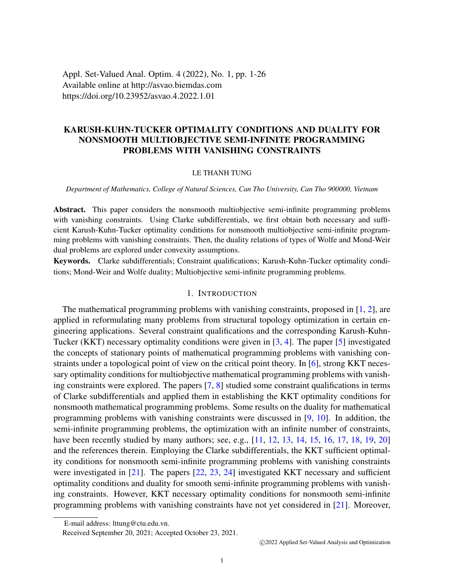Appl. Set-Valued Anal. Optim. 4 (2022), No. 1, pp. 1-26 Available online at http://asvao.biemdas.com https://doi.org/10.23952/asvao.4.2022.1.01

# KARUSH-KUHN-TUCKER OPTIMALITY CONDITIONS AND DUALITY FOR NONSMOOTH MULTIOBJECTIVE SEMI-INFINITE PROGRAMMING PROBLEMS WITH VANISHING CONSTRAINTS

## LE THANH TUNG

#### *Department of Mathematics, College of Natural Sciences, Can Tho University, Can Tho 900000, Vietnam*

Abstract. This paper considers the nonsmooth multiobjective semi-infinite programming problems with vanishing constraints. Using Clarke subdifferentials, we first obtain both necessary and sufficient Karush-Kuhn-Tucker optimality conditions for nonsmooth multiobjective semi-infinite programming problems with vanishing constraints. Then, the duality relations of types of Wolfe and Mond-Weir dual problems are explored under convexity assumptions.

Keywords. Clarke subdifferentials; Constraint qualifications; Karush-Kuhn-Tucker optimality conditions; Mond-Weir and Wolfe duality; Multiobjective semi-infinite programming problems.

# 1. INTRODUCTION

The mathematical programming problems with vanishing constraints, proposed in [\[1,](#page-24-0) [2\]](#page-24-1), are applied in reformulating many problems from structural topology optimization in certain engineering applications. Several constraint qualifications and the corresponding Karush-Kuhn-Tucker (KKT) necessary optimality conditions were given in [\[3,](#page-24-2) [4\]](#page-24-3). The paper [\[5\]](#page-24-4) investigated the concepts of stationary points of mathematical programming problems with vanishing constraints under a topological point of view on the critical point theory. In [\[6\]](#page-24-5), strong KKT necessary optimality conditions for multiobjective mathematical programming problems with vanishing constraints were explored. The papers [\[7,](#page-25-0) [8\]](#page-25-1) studied some constraint qualifications in terms of Clarke subdifferentials and applied them in establishing the KKT optimality conditions for nonsmooth mathematical programming problems. Some results on the duality for mathematical programming problems with vanishing constraints were discussed in [\[9,](#page-25-2) [10\]](#page-25-3). In addition, the semi-infinite programming problems, the optimization with an infinite number of constraints, have been recently studied by many authors; see, e.g., [\[11,](#page-25-4) [12,](#page-25-5) [13,](#page-25-6) [14,](#page-25-7) [15,](#page-25-8) [16,](#page-25-9) [17,](#page-25-10) [18,](#page-25-11) [19,](#page-25-12) [20\]](#page-25-13) and the references therein. Employing the Clarke subdifferentials, the KKT sufficient optimality conditions for nonsmooth semi-infinite programming problems with vanishing constraints were investigated in [\[21\]](#page-25-14). The papers [\[22,](#page-25-15) [23,](#page-25-16) [24\]](#page-25-17) investigated KKT necessary and sufficient optimality conditions and duality for smooth semi-infinite programming problems with vanishing constraints. However, KKT necessary optimality conditions for nonsmooth semi-infinite programming problems with vanishing constraints have not yet considered in [\[21\]](#page-25-14). Moreover,

E-mail address: lttung@ctu.edu.vn.

Received September 20, 2021; Accepted October 23, 2021.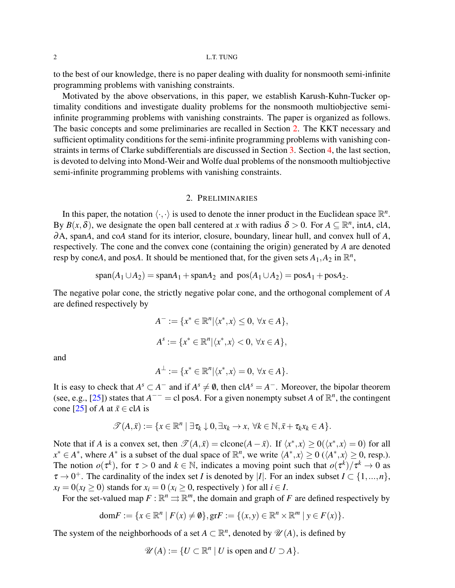to the best of our knowledge, there is no paper dealing with duality for nonsmooth semi-infinite programming problems with vanishing constraints.

Motivated by the above observations, in this paper, we establish Karush-Kuhn-Tucker optimality conditions and investigate duality problems for the nonsmooth multiobjective semiinfinite programming problems with vanishing constraints. The paper is organized as follows. The basic concepts and some preliminaries are recalled in Section [2.](#page-1-0) The KKT necessary and sufficient optimality conditions for the semi-infinite programming problems with vanishing constraints in terms of Clarke subdifferentials are discussed in Section [3.](#page-6-0) Section [4,](#page-13-0) the last section, is devoted to delving into Mond-Weir and Wolfe dual problems of the nonsmooth multiobjective semi-infinite programming problems with vanishing constraints.

## 2. PRELIMINARIES

<span id="page-1-0"></span>In this paper, the notation  $\langle \cdot, \cdot \rangle$  is used to denote the inner product in the Euclidean space  $\mathbb{R}^n$ . By  $B(x, \delta)$ , we designate the open ball centered at *x* with radius  $\delta > 0$ . For  $A \subseteq \mathbb{R}^n$ , intA, clA, ∂A, span*A*, and co*A* stand for its interior, closure, boundary, linear hull, and convex hull of *A*, respectively. The cone and the convex cone (containing the origin) generated by *A* are denoted resp by cone*A*, and pos*A*. It should be mentioned that, for the given sets  $A_1$ ,  $A_2$  in  $\mathbb{R}^n$ ,

$$
\text{span}(A_1 \cup A_2) = \text{span}A_1 + \text{span}A_2 \text{ and } \text{pos}(A_1 \cup A_2) = \text{pos}A_1 + \text{pos}A_2.
$$

The negative polar cone, the strictly negative polar cone, and the orthogonal complement of *A* are defined respectively by

$$
A^- := \{x^* \in \mathbb{R}^n | \langle x^*, x \rangle \le 0, \forall x \in A\},\
$$
  

$$
A^s := \{x^* \in \mathbb{R}^n | \langle x^*, x \rangle < 0, \forall x \in A\},\
$$

and

$$
A^{\perp} := \{x^* \in \mathbb{R}^n | \langle x^*, x \rangle = 0, \ \forall x \in A\}.
$$

It is easy to check that  $A^s \subset A^-$  and if  $A^s \neq \emptyset$ , then  $cA^s = A^-$ . Moreover, the bipolar theorem (see, e.g., [\[25\]](#page-25-18)) states that  $A^{-}$  = cl pos $A$ . For a given nonempty subset  $A$  of  $\mathbb{R}^n$ , the contingent cone [\[25\]](#page-25-18) of *A* at  $\bar{x} \in cIA$  is

$$
\mathscr{T}(A,\bar{x}) := \{x \in \mathbb{R}^n \mid \exists \tau_k \downarrow 0, \exists x_k \to x, \ \forall k \in \mathbb{N}, \bar{x} + \tau_k x_k \in A\}.
$$

Note that if *A* is a convex set, then  $\mathcal{T}(A,\bar{x}) = \text{clone}(A-\bar{x})$ . If  $\langle x^*, x \rangle \ge 0(\langle x^*, x \rangle = 0)$  for all  $x^* \in A^*$ , where  $A^*$  is a subset of the dual space of  $\mathbb{R}^n$ , we write  $\langle A^*, x \rangle \ge 0$  ( $\langle A^*, x \rangle \ge 0$ , resp.). The notion  $o(\tau^k)$ , for  $\tau > 0$  and  $k \in \mathbb{N}$ , indicates a moving point such that  $o(\tau^k)/\tau^k \to 0$  as  $\tau \to 0^+$ . The cardinality of the index set *I* is denoted by |*I*|. For an index subset  $I \subset \{1, ..., n\}$ ,  $x_I = 0$ ( $x_I > 0$ ) stands for  $x_i = 0$  ( $x_i > 0$ , respectively ) for all  $i \in I$ .

For the set-valued map  $F : \mathbb{R}^n \rightrightarrows \mathbb{R}^m$ , the domain and graph of *F* are defined respectively by

$$
\text{dom} F := \{ x \in \mathbb{R}^n \mid F(x) \neq \emptyset \}, \text{gr} F := \{ (x, y) \in \mathbb{R}^n \times \mathbb{R}^m \mid y \in F(x) \}.
$$

The system of the neighborhoods of a set  $A \subset \mathbb{R}^n$ , denoted by  $\mathscr{U}(A)$ , is defined by

$$
\mathscr{U}(A) := \{ U \subset \mathbb{R}^n \mid U \text{ is open and } U \supset A \}.
$$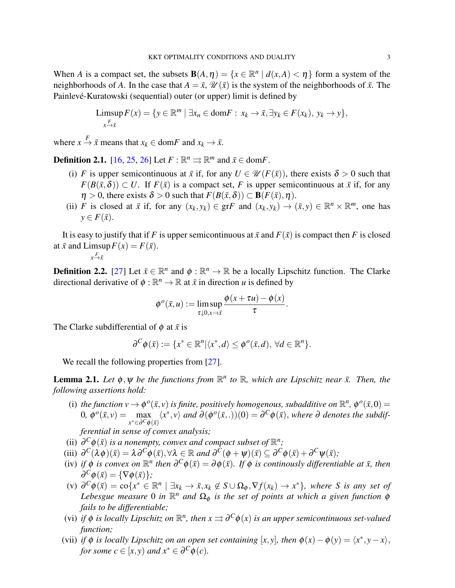When *A* is a compact set, the subsets  $B(A, \eta) = \{x \in \mathbb{R}^n \mid d(x, A) < \eta\}$  form a system of the neighborhoods of *A*. In the case that  $A = \bar{x}$ ,  $\mathcal{U}(\bar{x})$  is the system of the neighborhoods of  $\bar{x}$ . The Painlevé-Kuratowski (sequential) outer (or upper) limit is defined by

$$
\underset{x \xrightarrow{F}}{\text{Limsup}} F(x) = \{ y \in \mathbb{R}^m \mid \exists x_n \in \text{dom} F : x_k \to \bar{x}, \exists y_k \in F(x_k), y_k \to y \},
$$

where  $x \stackrel{F}{\to} \bar{x}$  means that  $x_k \in \text{dom} F$  and  $x_k \to \bar{x}$ .

**Definition 2.1.** [\[16,](#page-25-9) [25,](#page-25-18) [26\]](#page-25-19) Let  $F : \mathbb{R}^n \rightrightarrows \mathbb{R}^m$  and  $\bar{x} \in \text{dom} F$ .

- (i) *F* is upper semicontinuous at  $\bar{x}$  if, for any  $U \in \mathcal{U}(F(\bar{x}))$ , there exists  $\delta > 0$  such that  $F(B(\bar{x},\delta)) \subset U$ . If  $F(\bar{x})$  is a compact set, *F* is upper semicontinuous at  $\bar{x}$  if, for any  $\eta > 0$ , there exists  $\delta > 0$  such that  $F(B(\bar{x}, \delta)) \subset B(F(\bar{x}), \eta)$ .
- (ii) *F* is closed at  $\bar{x}$  if, for any  $(x_k, y_k) \in \text{gr } F$  and  $(x_k, y_k) \to (\bar{x}, y) \in \mathbb{R}^n \times \mathbb{R}^m$ , one has  $y \in F(\bar{x})$ .

It is easy to justify that if *F* is upper semicontinuous at  $\bar{x}$  and  $F(\bar{x})$  is compact then *F* is closed at  $\bar{x}$  and Limsup  $F(x) = F(\bar{x})$ .

 $x \xrightarrow{F} \bar{x}$ 

**Definition 2.2.** [\[27\]](#page-25-20) Let  $\bar{x} \in \mathbb{R}^n$  and  $\phi : \mathbb{R}^n \to \mathbb{R}$  be a locally Lipschitz function. The Clarke directional derivative of  $\phi : \mathbb{R}^n \to \mathbb{R}$  at  $\bar{x}$  in direction *u* is defined by

$$
\phi^{o}(\bar{x}, u) := \limsup_{\tau \downarrow 0, x \to \bar{x}} \frac{\phi(x + \tau u) - \phi(x)}{\tau}.
$$

The Clarke subdifferential of  $\phi$  at  $\bar{x}$  is

$$
\partial^{\mathcal{C}}\phi(\bar{x}) := \{x^* \in \mathbb{R}^n | \langle x^*, d \rangle \leq \phi^o(\bar{x}, d), \ \forall d \in \mathbb{R}^n \}.
$$

We recall the following properties from [\[27\]](#page-25-20).

**Lemma 2.1.** Let  $\phi$ ,  $\psi$  be the functions from  $\mathbb{R}^n$  to  $\mathbb{R}$ , which are Lipschitz near  $\bar{x}$ . Then, the *following assertions hold:*

(i) the function  $v \to \phi^o(\bar{x}, v)$  is finite, positively homogenous, subadditive on  $\mathbb{R}^n$ ,  $\phi^o(\bar{x}, 0) =$ 0,  $\phi^o(\bar{x}, v) = \max_{\bar{x} \in \bar{S}}$ *x*<sup>\*</sup> ∈∂<sup>*C*</sup> $\phi$ (*x*̄)  $\langle x^*, v \rangle$  *and*  $\partial(\phi^o(\bar{x}, .))(0) = \partial^C \phi(\bar{x}),$  *where*  $\partial$  *denotes the subdif-*

*ferential in sense of convex analysis;*

- (ii)  $\partial^C \phi(\bar{x})$  *is a nonempty, convex and compact subset of*  $\mathbb{R}^n$ *;*
- (iii)  $\partial^C(\lambda \phi)(\bar{x}) = \lambda \partial^C \phi(\bar{x}), \forall \lambda \in \mathbb{R} \text{ and } \partial^C(\phi + \psi)(\bar{x}) \subseteq \partial^C \phi(\bar{x}) + \partial^C \psi(\bar{x})$ ;
- (iv) if  $\phi$  is convex on  $\mathbb{R}^n$  then  $\partial^C \phi(\bar{x}) = \partial \phi(\bar{x})$ . If  $\phi$  is continously differentiable at  $\bar{x}$ , then  $\partial^C \phi(\bar{x}) = {\nabla \phi(\bar{x})};$
- $(v)$   $\partial^C \phi(\bar{x}) = \cos\{x^* \in \mathbb{R}^n \mid \exists x_k \to \bar{x}, x_k \notin S \cup \Omega_\phi, \nabla f(x_k) \to x^* \},$  where S is any set of Lebesgue measure 0 in  $\mathbb{R}^n$  and  $\Omega_\phi$  is the set of points at which a given function  $\phi$ *fails to be differentiable;*
- (vi) if  $\phi$  is locally Lipschitz on  $\mathbb{R}^n$ , then  $x \rightrightarrows \partial^C \phi(x)$  is an upper semicontinuous set-valued *function;*
- (vii) *if*  $\phi$  *is locally Lipschitz on an open set containing* [*x*, *y*], *then*  $\phi(x) \phi(y) = \langle x^*, y x \rangle$ , *for some*  $c \in [x, y)$  *and*  $x^* \in \partial^C \phi(c)$ *.*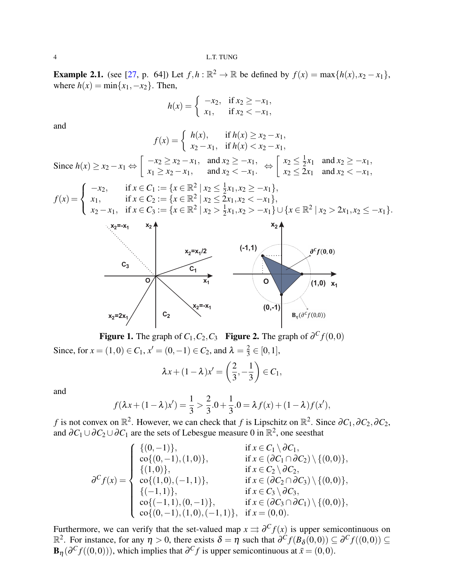**Example 2.1.** (see [\[27,](#page-25-20) p. 64]) Let  $f, h : \mathbb{R}^2 \to \mathbb{R}$  be defined by  $f(x) = \max\{h(x), x_2 - x_1\}$ , where  $h(x) = \min\{x_1, -x_2\}$ . Then,

$$
h(x) = \begin{cases} -x_2, & \text{if } x_2 \ge -x_1, \\ x_1, & \text{if } x_2 < -x_1, \end{cases}
$$

and

$$
f(x) = \begin{cases} h(x), & \text{if } h(x) \ge x_2 - x_1, \\ x_2 - x_1, & \text{if } h(x) < x_2 - x_1, \end{cases}
$$
\nSince  $h(x) \ge x_2 - x_1 \Leftrightarrow \begin{bmatrix} -x_2 \ge x_2 - x_1, & \text{and } x_2 \ge -x_1, \\ x_1 \ge x_2 - x_1, & \text{and } x_2 < -x_1. \end{bmatrix} \Leftrightarrow \begin{bmatrix} x_2 \le \frac{1}{2}x_1 & \text{and } x_2 \ge -x_1, \\ x_2 \le 2x_1 & \text{and } x_2 < -x_1. \end{bmatrix}$ 

$$
f(x) = \begin{cases} -x_2, & \text{if } x \in C_1 := \{x \in \mathbb{R}^2 \mid x_2 \le \frac{1}{2}x_1, x_2 \ge -x_1\}, \\ x_1, & \text{if } x \in C_2 := \{x \in \mathbb{R}^2 \mid x_2 \le 2x_1, x_2 < -x_1\}, \\ x_2 - x_1, & \text{if } x \in C_3 := \{x \in \mathbb{R}^2 \mid x_2 > \frac{1}{2}x_1, x_2 > -x_1\} \cup \{x \in \mathbb{R}^2 \mid x_2 > 2x_1, x_2 \le -x_1\}. \end{cases}
$$



**Figure 1.** The graph of  $C_1$ ,  $C_2$ ,  $C_3$  **Figure 2.** The graph of  $\partial^C f(0,0)$ 

Since, for  $x = (1,0) \in C_1$ ,  $x' = (0,-1) \in C_2$ , and  $\lambda = \frac{2}{3}$  $\frac{2}{3} \in [0,1],$ 

$$
\lambda x + (1 - \lambda)x' = \left(\frac{2}{3}, -\frac{1}{3}\right) \in C_1,
$$

and

$$
f(\lambda x + (1 - \lambda)x') = \frac{1}{3} > \frac{2}{3} \cdot 0 + \frac{1}{3} \cdot 0 = \lambda f(x) + (1 - \lambda)f(x'),
$$

*f* is not convex on  $\mathbb{R}^2$ . However, we can check that *f* is Lipschitz on  $\mathbb{R}^2$ . Since  $\partial C_1, \partial C_2, \partial C_2$ , and  $\partial C_1 \cup \partial C_2 \cup \partial C_1$  are the sets of Lebesgue measure 0 in  $\mathbb{R}^2$ , one seesthat

$$
\partial^{C} f(x) = \begin{cases}\n\{(0,-1)\}, & \text{if } x \in C_{1} \setminus \partial C_{1}, \\
\text{co}\{(0,-1),(1,0)\}, & \text{if } x \in (\partial C_{1} \cap \partial C_{2}) \setminus \{(0,0)\}, \\
\{(1,0)\}, & \text{if } x \in C_{2} \setminus \partial C_{2}, \\
\text{co}\{(1,0), (-1,1)\}, & \text{if } x \in (\partial C_{2} \cap \partial C_{3}) \setminus \{(0,0)\}, \\
\{(-1,1)\}, & \text{if } x \in C_{3} \setminus \partial C_{3}, \\
\text{co}\{(-1,1),(0,-1)\}, & \text{if } x \in (\partial C_{3} \cap \partial C_{1}) \setminus \{(0,0)\}, \\
\text{co}\{(0,-1),(1,0), (-1,1)\}, & \text{if } x = (0,0).\n\end{cases}
$$

Furthermore, we can verify that the set-valued map  $x \rightrightarrows \partial^C f(x)$  is upper semicontinuous on  $\mathbb{R}^2$ . For instance, for any  $η > 0$ , there exists  $δ = η$  such that  $∂<sup>C</sup>f(B<sub>δ</sub>(0,0)) ⊆ ∂<sup>C</sup>f((0,0)) ⊆$  $\mathbf{B}_{\eta}(\partial^C f((0,0)))$ , which implies that  $\partial^C f$  is upper semicontinuous at  $\bar{x} = (0,0)$ .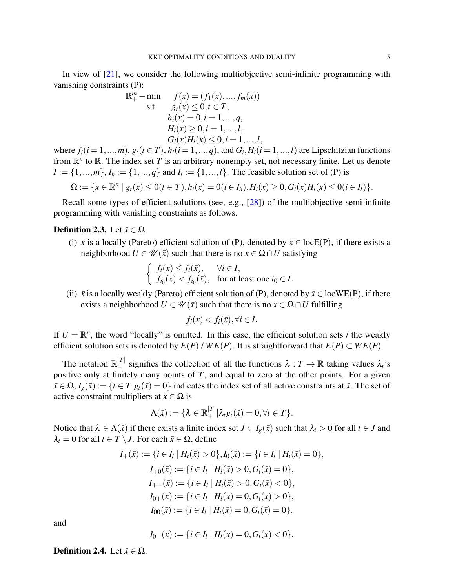In view of  $[21]$ , we consider the following multiobjective semi-infinite programming with vanishing constraints (P):

$$
\mathbb{R}_{+}^{m} - \min \qquad f(x) = (f_{1}(x), ..., f_{m}(x))
$$
  
s.t.  $g_{t}(x) \leq 0, t \in T$ ,  
 $h_{i}(x) = 0, i = 1, ..., q$ ,  
 $H_{i}(x) \geq 0, i = 1, ..., l$ ,  
 $G_{i}(x)H_{i}(x) \leq 0, i = 1, ..., l$ ,

where  $f_i(i = 1, ..., m)$ ,  $g_t(i \in T)$ ,  $h_i(i = 1, ..., q)$ , and  $G_i, H_i(i = 1, ..., l)$  are Lipschitzian functions from  $\mathbb{R}^n$  to  $\mathbb{R}$ . The index set *T* is an arbitrary nonempty set, not necessary finite. Let us denote  $I := \{1, ..., m\}, I_h := \{1, ..., q\}$  and  $I_l := \{1, ..., l\}$ . The feasible solution set of (P) is

$$
\Omega := \{x \in \mathbb{R}^n \mid g_t(x) \leq 0 \ (t \in T), h_i(x) = 0 \ (i \in I_h), H_i(x) \geq 0, G_i(x)H_i(x) \leq 0 \ (i \in I_l) \}.
$$

Recall some types of efficient solutions (see, e.g., [\[28\]](#page-25-21)) of the multiobjective semi-infinite programming with vanishing constraints as follows.

# **Definition 2.3.** Let  $\bar{x} \in \Omega$ .

(i)  $\bar{x}$  is a locally (Pareto) efficient solution of (P), denoted by  $\bar{x} \in \text{locE}(P)$ , if there exists a neighborhood  $U \in \mathcal{U}(\bar{x})$  such that there is no  $x \in \Omega \cap U$  satisfying

$$
\begin{cases} f_i(x) \le f_i(\bar{x}), & \forall i \in I, \\ f_{i_0}(x) < f_{i_0}(\bar{x}), \quad \text{for at least one } i_0 \in I. \end{cases}
$$

(ii)  $\bar{x}$  is a locally weakly (Pareto) efficient solution of (P), denoted by  $\bar{x} \in \text{locWE}(P)$ , if there exists a neighborhood  $U \in \mathcal{U}(\bar{x})$  such that there is no  $x \in \Omega \cap U$  fulfilling

$$
f_i(x) < f_i(\bar{x}), \forall i \in I.
$$

If  $U = \mathbb{R}^n$ , the word "locally" is omitted. In this case, the efficient solution sets / the weakly efficient solution sets is denoted by  $E(P)$  /  $WE(P)$ . It is straightforward that  $E(P) \subset WE(P)$ .

The notation  $\mathbb{R}^{|\mathcal{I}|}_+$  signifies the collection of all the functions  $\lambda : \mathcal{I} \to \mathbb{R}$  taking values  $\lambda_i$ 's positive only at finitely many points of *T*, and equal to zero at the other points. For a given  $\bar{x} \in \Omega$ ,  $I_g(\bar{x}) := \{t \in T | g_t(\bar{x}) = 0\}$  indicates the index set of all active constraints at  $\bar{x}$ . The set of active constraint multipliers at  $\bar{x} \in \Omega$  is

$$
\Lambda(\bar{x}):=\{\lambda\in\mathbb{R}^{|T|}_+|\lambda_t g_t(\bar{x})=0,\forall t\in T\}.
$$

Notice that  $\lambda \in \Lambda(\bar{x})$  if there exists a finite index set  $J \subset I_g(\bar{x})$  such that  $\lambda_t > 0$  for all  $t \in J$  and  $\lambda_t = 0$  for all  $t \in T \setminus J$ . For each  $\bar{x} \in \Omega$ , define

$$
I_{+}(\bar{x}) := \{i \in I_{l} \mid H_{i}(\bar{x}) > 0\}, I_{0}(\bar{x}) := \{i \in I_{l} \mid H_{i}(\bar{x}) = 0\},
$$
  
\n
$$
I_{+0}(\bar{x}) := \{i \in I_{l} \mid H_{i}(\bar{x}) > 0, G_{i}(\bar{x}) = 0\},
$$
  
\n
$$
I_{+-}(\bar{x}) := \{i \in I_{l} \mid H_{i}(\bar{x}) > 0, G_{i}(\bar{x}) < 0\},
$$
  
\n
$$
I_{0+}(\bar{x}) := \{i \in I_{l} \mid H_{i}(\bar{x}) = 0, G_{i}(\bar{x}) > 0\},
$$
  
\n
$$
I_{00}(\bar{x}) := \{i \in I_{l} \mid H_{i}(\bar{x}) = 0, G_{i}(\bar{x}) = 0\},
$$

and

$$
I_{0-}(\bar{x}) := \{i \in I_l \mid H_i(\bar{x}) = 0, G_i(\bar{x}) < 0\}.
$$

**Definition 2.4.** Let  $\bar{x} \in \Omega$ .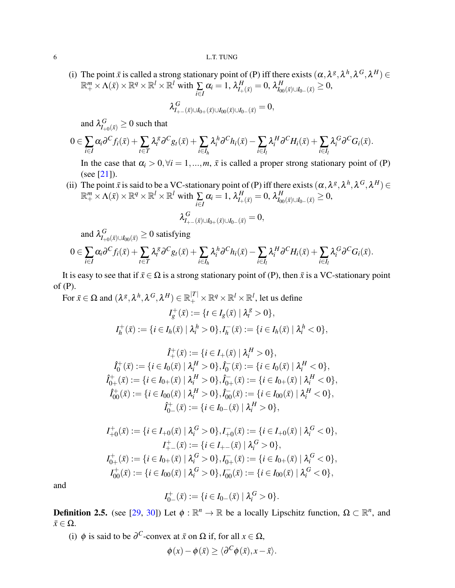(i) The point  $\bar{x}$  is called a strong stationary point of (P) iff there exists  $(\alpha, \lambda^g, \lambda^h, \lambda^G, \lambda^H) \in$  $\mathbb{R}^m_+ \times \Lambda(\bar{x}) \times \mathbb{R}^q \times \mathbb{R}^l \times \mathbb{R}^l$  with  $\sum\limits_{i \in I}$  $\alpha_i = 1, \, \lambda_{I_+(\bar x)}^H = 0, \, \lambda_{I_{00}(\bar x) \cup I_{0-}(\bar x)}^H \geq 0,$ 

$$
\lambda^G_{I_{+-}(\bar x)\cup I_{0+}(\bar x)\cup I_{00}(\bar x)\cup I_{0-}(\bar x)}=0,
$$

and  $\lambda_{I_{+0}(\bar{x})}^G \ge 0$  such that

$$
0\in \sum_{i\in I}\alpha_i\partial^C f_i(\bar x)+\sum_{t\in T}\lambda_i^g\partial^C g_t(\bar x)+\sum_{i\in I_h}\lambda_i^h\partial^C h_i(\bar x)-\sum_{i\in I_l}\lambda_i^H\partial^C H_i(\bar x)+\sum_{i\in I_l}\lambda_i^G\partial^C G_i(\bar x).
$$

In the case that  $\alpha_i > 0$ ,  $\forall i = 1,...,m$ ,  $\bar{x}$  is called a proper strong stationary point of (P) (see [\[21\]](#page-25-14)).

(ii) The point  $\bar{x}$  is said to be a VC-stationary point of (P) iff there exists  $(\alpha, \lambda^g, \lambda^h, \lambda^G, \lambda^H) \in$  $\mathbb{R}^m_+ \times \Lambda(\bar{x}) \times \mathbb{R}^q \times \mathbb{R}^l \times \mathbb{R}^l$  with  $\sum\limits_{i \in I}$  $\alpha_i = 1, \, \lambda_{I_+(\bar{x})}^H = 0, \, \lambda_{I_{00}(\bar{x}) \cup I_{0-}(\bar{x})}^H \geq 0,$ 

$$
\lambda^G_{I_{+-}(\bar x)\cup I_{0+}(\bar x)\cup I_{0-}(\bar x)}=0,
$$

and  $\lambda_{I_{+0}(\bar x)\cup I_{00}(\bar x)}^G\geq 0$  satisfying

$$
0\in \sum_{i\in I}\alpha_i\partial^C f_i(\bar{x})+\sum_{t\in T}\lambda_i^{\mathcal{B}}\partial^C g_t(\bar{x})+\sum_{i\in I_h}\lambda_i^h\partial^C h_i(\bar{x})-\sum_{i\in I_l}\lambda_i^H\partial^C H_i(\bar{x})+\sum_{i\in I_l}\lambda_i^G\partial^C G_i(\bar{x}).
$$

It is easy to see that if  $\bar{x} \in \Omega$  is a strong stationary point of (P), then  $\bar{x}$  is a VC-stationary point of (P).

For  $\bar{x} \in \Omega$  and  $(\lambda^g, \lambda^h, \lambda^G, \lambda^H) \in \mathbb{R}_+^{|T|} \times \mathbb{R}^q \times \mathbb{R}^l \times \mathbb{R}^l$ , let us define

$$
I_g^+(\bar{x}) := \{t \in I_g(\bar{x}) \mid \lambda_t^g > 0\},
$$
  

$$
I_h^+(\bar{x}) := \{i \in I_h(\bar{x}) \mid \lambda_i^h > 0\}, I_h^-(\bar{x}) := \{i \in I_h(\bar{x}) \mid \lambda_i^h < 0\},
$$

$$
\hat{I}_{+}^{+}(\bar{x}) := \{i \in I_{+}(\bar{x}) \mid \lambda_{i}^{H} > 0\},
$$
\n
$$
\hat{I}_{0}^{+}(\bar{x}) := \{i \in I_{0}(\bar{x}) \mid \lambda_{i}^{H} > 0\}, \hat{I}_{0}^{-}(\bar{x}) := \{i \in I_{0}(\bar{x}) \mid \lambda_{i}^{H} < 0\},
$$
\n
$$
\hat{I}_{0+}^{+}(\bar{x}) := \{i \in I_{0+}(\bar{x}) \mid \lambda_{i}^{H} > 0\}, \hat{I}_{0+}^{-}(\bar{x}) := \{i \in I_{0+}(\bar{x}) \mid \lambda_{i}^{H} < 0\},
$$
\n
$$
\hat{I}_{00}^{+}(\bar{x}) := \{i \in I_{00}(\bar{x}) \mid \lambda_{i}^{H} > 0\}, \hat{I}_{00}^{-}(\bar{x}) := \{i \in I_{00}(\bar{x}) \mid \lambda_{i}^{H} < 0\},
$$
\n
$$
\hat{I}_{0-}^{+}(\bar{x}) := \{i \in I_{0-}(\bar{x}) \mid \lambda_{i}^{H} > 0\},
$$

$$
I_{+0}^{+}(\bar{x}) := \{ i \in I_{+0}(\bar{x}) \mid \lambda_{i}^{G} > 0 \}, I_{+0}^{-}(\bar{x}) := \{ i \in I_{+0}(\bar{x}) \mid \lambda_{i}^{G} < 0 \},
$$
  
\n
$$
I_{+-}^{+}(\bar{x}) := \{ i \in I_{+-}(\bar{x}) \mid \lambda_{i}^{G} > 0 \},
$$
  
\n
$$
I_{0+}^{+}(\bar{x}) := \{ i \in I_{0+}(\bar{x}) \mid \lambda_{i}^{G} > 0 \}, I_{0+}^{-}(\bar{x}) := \{ i \in I_{0+}(\bar{x}) \mid \lambda_{i}^{G} < 0 \},
$$
  
\n
$$
I_{00}^{+}(\bar{x}) := \{ i \in I_{00}(\bar{x}) \mid \lambda_{i}^{G} > 0 \}, I_{00}^{-}(\bar{x}) := \{ i \in I_{00}(\bar{x}) \mid \lambda_{i}^{G} < 0 \},
$$

and

$$
I_{0-}^{+}(\bar{x}) := \{ i \in I_{0-}(\bar{x}) \mid \lambda_i^{G} > 0 \}.
$$

**Definition 2.5.** (see [\[29,](#page-25-22) [30\]](#page-25-23)) Let  $\phi : \mathbb{R}^n \to \mathbb{R}$  be a locally Lipschitz function,  $\Omega \subset \mathbb{R}^n$ , and  $\bar{x} \in \Omega$ .

(i)  $\phi$  is said to be  $\partial^C$ -convex at  $\bar{x}$  on  $\Omega$  if, for all  $x \in \Omega$ ,

$$
\phi(x) - \phi(\bar{x}) \ge \langle \partial^C \phi(\bar{x}), x - \bar{x} \rangle.
$$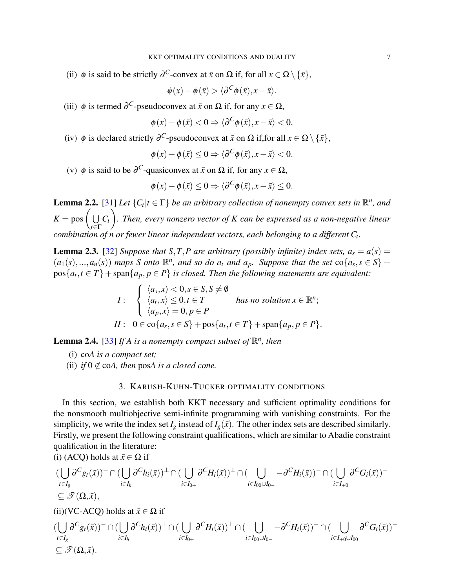(ii)  $\phi$  is said to be strictly  $\partial^C$ -convex at  $\bar{x}$  on  $\Omega$  if, for all  $x \in \Omega \setminus {\{\bar{x}\}},$ 

$$
\phi(x) - \phi(\bar{x}) > \langle \partial^C \phi(\bar{x}), x - \bar{x} \rangle.
$$

(iii)  $\phi$  is termed  $\partial^C$ -pseudoconvex at  $\bar{x}$  on  $\Omega$  if, for any  $x \in \Omega$ ,

$$
\phi(x) - \phi(\bar{x}) < 0 \Rightarrow \langle \partial^C \phi(\bar{x}), x - \bar{x} \rangle < 0.
$$

(iv)  $\phi$  is declared strictly  $\partial^C$ -pseudoconvex at  $\bar{x}$  on  $\Omega$  if, for all  $x \in \Omega \setminus {\bar{x}}$ ,

$$
\phi(x) - \phi(\bar{x}) \leq 0 \Rightarrow \langle \partial^C \phi(\bar{x}), x - \bar{x} \rangle < 0.
$$

(v)  $\phi$  is said to be  $\partial^C$ -quasiconvex at  $\bar{x}$  on  $\Omega$  if, for any  $x \in \Omega$ ,

$$
\phi(x) - \phi(\bar{x}) \leq 0 \Rightarrow \langle \partial^C \phi(\bar{x}), x - \bar{x} \rangle \leq 0.
$$

<span id="page-6-1"></span>**Lemma 2.2.** [\[31\]](#page-25-24) Let  $\{C_t | t \in \Gamma\}$  be an arbitrary collection of nonempty convex sets in  $\mathbb{R}^n$ , and  $K = pos \n\begin{pmatrix} 1 \\ 1 \end{pmatrix}$ *t*∈Γ *Ct*  $\setminus$ *. Then, every nonzero vector of K can be expressed as a non-negative linear combination of n or fewer linear independent vectors, each belonging to a different C<sup>t</sup> .*

<span id="page-6-2"></span>**Lemma 2.3.** [\[32\]](#page-25-25) *Suppose that S*, *T*, *P* are arbitrary (possibly infinite) index sets,  $a_s = a(s)$  =  $(a_1(s),...,a_n(s))$  maps S onto  $\mathbb{R}^n$ , and so do  $a_t$  and  $a_p$ . Suppose that the set  $\text{co}\{a_s, s \in S\}$  +  $pos{a_t, t \in T}$  + span ${a_p, p \in P}$  *is closed. Then the following statements are equivalent:* 

$$
I: \begin{cases} \langle a_s, x \rangle < 0, s \in S, S \neq \emptyset \\ \langle a_t, x \rangle \leq 0, t \in T \\ \langle a_p, x \rangle = 0, p \in P \end{cases} \text{ has no solution } x \in \mathbb{R}^n;
$$
  

$$
II: 0 \in \text{co}\{a_s, s \in S\} + \text{pos}\{a_t, t \in T\} + \text{span}\{a_p, p \in P\}.
$$

**Lemma 2.4.** [\[33\]](#page-25-26) If A is a nonempty compact subset of  $\mathbb{R}^n$ , then

(i) co*A is a compact set;*

 $\subset \mathscr{T}(\Omega,\bar{x})$ .

(ii) *if*  $0 \notin \text{coA}$ , then posA is a closed cone.

## 3. KARUSH-KUHN-TUCKER OPTIMALITY CONDITIONS

<span id="page-6-0"></span>In this section, we establish both KKT necessary and sufficient optimality conditions for the nonsmooth multiobjective semi-infinite programming with vanishing constraints. For the simplicity, we write the index set  $I_g$  instead of  $I_g(\bar{x})$ . The other index sets are described similarly. Firstly, we present the following constraint qualifications, which are similar to Abadie constraint qualification in the literature: (i)  $(\Lambda C \Omega)$  holds at  $\bar{x} \subset \Omega$  if

$$
\begin{split}\n &(\bigcup_{t\in I_g} \partial^C g_t(\bar{x}))^-\cap (\bigcup_{i\in I_h} \partial^C h_i(\bar{x}))^\perp \cap (\bigcup_{i\in I_{0+}} \partial^C H_i(\bar{x}))^\perp \cap (\bigcup_{i\in I_{0\cup} \cup I_{0-}} -\partial^C H_i(\bar{x}))^-\cap (\bigcup_{i\in I_{+0}} \partial^C G_i(\bar{x}))^- \\
 &\subseteq \mathcal{F}(\Omega, \bar{x}), \\
 &(\text{ii})(\text{VC-ACQ}) \text{ holds at } \bar{x} \in \Omega \text{ if } \\
 &(\bigcup_{t\in I_g} \partial^C g_t(\bar{x}))^-\cap (\bigcup_{i\in I_h} \partial^C h_i(\bar{x}))^\perp \cap (\bigcup_{i\in I_{0+}} \partial^C H_i(\bar{x}))^\perp \cap (\bigcup_{i\in I_{0\cup} \cup I_{0-}} -\partial^C H_i(\bar{x}))^-\cap (\bigcup_{i\in I_{+0}\cup I_{00}} \partial^C G_i(\bar{x}))^- \\
 & \leq \mathcal{F}(\Omega, \bar{x})\n \end{split}
$$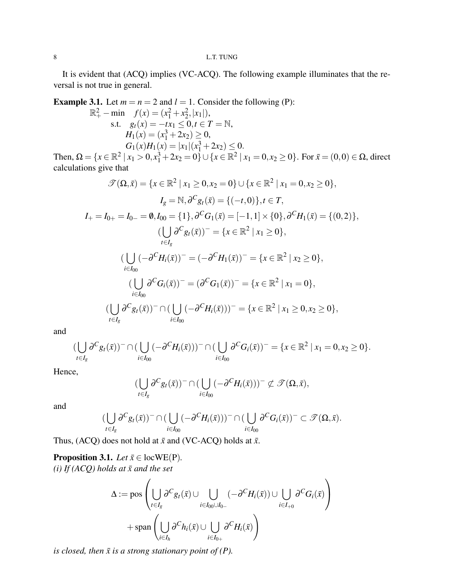It is evident that (ACQ) implies (VC-ACQ). The following example illuminates that the reversal is not true in general.

**Example 3.1.** Let  $m = n = 2$  and  $l = 1$ . Consider the following (P):

$$
\mathbb{R}^{2}_{+} - \min f(x) = (x_{1}^{2} + x_{2}^{2}, |x_{1}|),
$$
  
s.t.  $g_{t}(x) = -tx_{1} \le 0, t \in T = \mathbb{N},$   
 $H_{1}(x) = (x_{1}^{3} + 2x_{2}) \ge 0,$   
 $G_{1}(x)H_{1}(x) = |x_{1}|(x_{1}^{3} + 2x_{2}) \le 0.$ 

Then,  $\Omega = \{x \in \mathbb{R}^2 \mid x_1 > 0, x_1^3 + 2x_2 = 0\} \cup \{x \in \mathbb{R}^2 \mid x_1 = 0, x_2 \ge 0\}$ . For  $\bar{x} = (0,0) \in \Omega$ , direct calculations give that

$$
\mathcal{F}(\Omega,\bar{x}) = \{x \in \mathbb{R}^2 \mid x_1 \ge 0, x_2 = 0\} \cup \{x \in \mathbb{R}^2 \mid x_1 = 0, x_2 \ge 0\},
$$
  
\n
$$
I_g = \mathbb{N}, \partial^C g_t(\bar{x}) = \{(-t,0)\}, t \in T,
$$
  
\n
$$
I_+ = I_{0+} = I_{0-} = \emptyset, I_{00} = \{1\}, \partial^C G_1(\bar{x}) = [-1,1] \times \{0\}, \partial^C H_1(\bar{x}) = \{(0,2)\},
$$
  
\n
$$
(\bigcup_{t \in I_g} \partial^C g_t(\bar{x}))^- = \{x \in \mathbb{R}^2 \mid x_1 \ge 0\},
$$
  
\n
$$
(\bigcup_{i \in I_{00}} (-\partial^C H_i(\bar{x}))^- = (-\partial^C H_1(\bar{x}))^- = \{x \in \mathbb{R}^2 \mid x_2 \ge 0\},
$$
  
\n
$$
(\bigcup_{i \in I_{00}} \partial^C G_i(\bar{x}))^- = (\partial^C G_1(\bar{x}))^- = \{x \in \mathbb{R}^2 \mid x_1 = 0\},
$$
  
\n
$$
(\bigcup_{t \in I_g} \partial^C g_t(\bar{x}))^- \cap (\bigcup_{i \in I_{00}} (-\partial^C H_i(\bar{x})))^- = \{x \in \mathbb{R}^2 \mid x_1 \ge 0, x_2 \ge 0\},
$$

and

$$
(\bigcup_{t\in I_g} \partial^C g_t(\bar{x}))^-\cap (\bigcup_{i\in I_{00}} (-\partial^C H_i(\bar{x})))^-\cap (\bigcup_{i\in I_{00}} \partial^C G_i(\bar{x}))^-=\{x\in \mathbb{R}^2 \mid x_1=0, x_2\geq 0\}.
$$

Hence,

$$
(\bigcup_{t\in I_g}\partial^C g_t(\bar x))\cap (\bigcup_{i\in I_{00}}(-\partial^C H_i(\bar x)))^-\not\subset \mathscr{T}(\Omega,\bar x),
$$

and

$$
(\bigcup_{t\in I_g}\partial^C g_t(\bar x))^-\cap(\bigcup_{i\in I_{00}}(-\partial^C H_i(\bar x)))^-\cap(\bigcup_{i\in I_{00}}\partial^C G_i(\bar x))^-\subset\mathscr{T}(\Omega,\bar x).
$$

Thus, (ACQ) does not hold at  $\bar{x}$  and (VC-ACQ) holds at  $\bar{x}$ .

<span id="page-7-0"></span>**Proposition 3.1.** *Let*  $\bar{x} \in \text{locWE}(P)$ .  $(i)$  If (ACQ) holds at  $\bar{x}$  and the set

$$
\Delta := \text{pos}\left(\bigcup_{t \in I_g} \partial^C g_t(\bar{x}) \cup \bigcup_{i \in I_{00} \cup I_{0-}} (-\partial^C H_i(\bar{x})) \cup \bigcup_{i \in I_{+0}} \partial^C G_i(\bar{x})\right) + \text{span}\left(\bigcup_{i \in I_h} \partial^C h_i(\bar{x}) \cup \bigcup_{i \in I_{0+}} \partial^C H_i(\bar{x})\right)
$$

*is closed, then*  $\bar{x}$  *is a strong stationary point of (P).*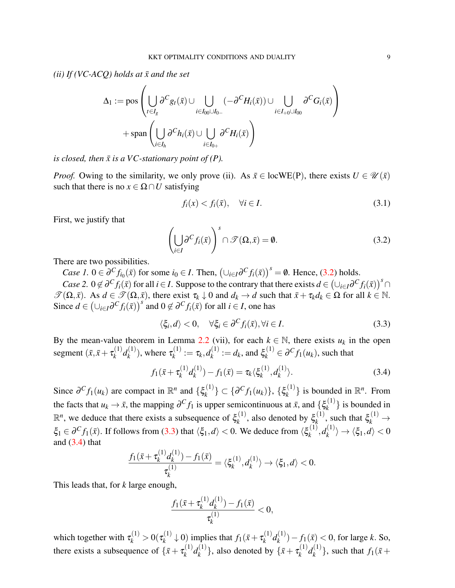*(ii) If (VC-ACQ) holds at*  $\bar{x}$  *and the set* 

$$
\Delta_1 := \text{pos}\left(\bigcup_{t \in I_g} \partial^C g_t(\bar{x}) \cup \bigcup_{i \in I_{00} \cup I_{0-}} (-\partial^C H_i(\bar{x})) \cup \bigcup_{i \in I_{+0} \cup I_{00}} \partial^C G_i(\bar{x})\right) + \text{span}\left(\bigcup_{i \in I_h} \partial^C h_i(\bar{x}) \cup \bigcup_{i \in I_{0+}} \partial^C H_i(\bar{x})\right)
$$

*is closed, then*  $\bar{x}$  *is a VC-stationary point of (P).* 

*Proof.* Owing to the similarity, we only prove (ii). As  $\bar{x} \in locWE(P)$ , there exists  $U \in \mathcal{U}(\bar{x})$ such that there is no  $x \in \Omega \cap U$  satisfying

<span id="page-8-3"></span>
$$
f_i(x) < f_i(\bar{x}), \quad \forall i \in I. \tag{3.1}
$$

First, we justify that

<span id="page-8-0"></span>
$$
\left(\bigcup_{i\in I} \partial^C f_i(\bar{x})\right)^s \cap \mathcal{T}(\Omega, \bar{x}) = \emptyset.
$$
\n(3.2)

There are two possibilities.

*Case 1.*  $0 \in \partial^C f_{i_0}(\bar{x})$  for some  $i_0 \in I$ . Then,  $(\cup_{i \in I} \partial^C f_i(\bar{x}))^s = \emptyset$ . Hence, [\(3.2\)](#page-8-0) holds. *Case* 2.  $0 \notin \partial^C f_i(\bar{x})$  for all  $i \in I$ . Suppose to the contrary that there exists  $d \in (\cup_{i \in I} \partial^C f_i(\bar{x}))^S \cap$ 

 $\mathscr{T}(\Omega, \bar{x})$ . As  $d \in \mathscr{T}(\Omega, \bar{x})$ , there exist  $\tau_k \downarrow 0$  and  $d_k \rightarrow d$  such that  $\bar{x} + \tau_k d_k \in \Omega$  for all  $k \in \mathbb{N}$ . Since  $d \in (\cup_{i \in I} \partial^C f_i(\bar{x}))^s$  and  $0 \notin \partial^C f_i(\bar{x})$  for all  $i \in I$ , one has

<span id="page-8-1"></span>
$$
\langle \xi_i, d \rangle < 0, \quad \forall \xi_i \in \partial^C f_i(\bar{x}), \forall i \in I. \tag{3.3}
$$

By the mean-value theorem in Lemma [2.2](#page-6-1) (vii), for each  $k \in \mathbb{N}$ , there exists  $u_k$  in the open segment  $(\bar{x}, \bar{x} + \tau_k^{(1)})$  $\binom{1}{k} d_k^{(1)}$  $\binom{n}{k}$ , where  $\tau_k^{(1)}$  $a_k^{(1)} := \tau_k, d_k^{(1)}$  $\zeta_k^{(1)} := d_k$ , and  $\xi_k^{(1)} \in \partial^C f_1(u_k)$ , such that

<span id="page-8-2"></span>
$$
f_1(\bar{x} + \tau_k^{(1)}d_k^{(1)}) - f_1(\bar{x}) = \tau_k \langle \xi_k^{(1)}, d_k^{(1)} \rangle.
$$
 (3.4)

Since  $\partial^C f_1(u_k)$  are compact in  $\mathbb{R}^n$  and  $\{\xi_k^{(1)}\}$  $\{e^{(1)}\}\subset \{\partial^C f_1(u_k)\},\ \{\xi_k^{(1)}\}$  $\{k^{(1)}\}$  is bounded in  $\mathbb{R}^n$ . From the facts that  $u_k \to \bar{x}$ , the mapping  $\partial^C f_1$  is upper semicontinuous at  $\bar{x}$ , and  $\{\xi_k^{(1)}\}$  $\{k^{(1)}\}$  is bounded in  $\mathbb{R}^n$ , we deduce that there exists a subsequence of  $\xi_k^{(1)}$  $\zeta_k^{(1)}$ , also denoted by  $\xi_k^{(1)}$  $\zeta_k^{(1)}$ , such that  $\xi_k^{(1)} \rightarrow$  $\xi_1 \in \partial^C f_1(\bar{x})$ . If follows from [\(3.3\)](#page-8-1) that  $\langle \xi_1, d \rangle < 0$ . We deduce from  $\langle \xi_k^{(1)} \rangle$  $\boldsymbol{d}_k^{(1)}, \boldsymbol{d}_k^{(1)}$  $\langle k^{(1)} \rangle \rightarrow \langle \xi_1, d \rangle < 0$ and  $(3.4)$  that

$$
\frac{f_1(\bar{x} + \tau_k^{(1)}d_k^{(1)}) - f_1(\bar{x})}{\tau_k^{(1)}} = \langle \xi_k^{(1)}, d_k^{(1)} \rangle \to \langle \xi_1, d \rangle < 0.
$$

This leads that, for *k* large enough,

$$
\frac{f_1(\bar{x} + \tau_k^{(1)}d_k^{(1)}) - f_1(\bar{x})}{\tau_k^{(1)}} < 0,
$$

which together with  $\tau_k^{(1)} > 0(\tau_k^{(1)})$  $f_k^{(1)} \downarrow 0$ ) implies that  $f_1(\bar{x} + \tau_k^{(1)})$  $\binom{(1)}{k}$  $d_k^{(1)}$  $f_k^{(1)}$ ) –  $f_1(\bar{x}) < 0$ , for large *k*. So, there exists a subsequence of  $\{\bar{x} + \tau_k^{(1)}\}$  $\binom{1}{k} d_k^{(1)}$  $\{(\begin{matrix}1\\ k\end{matrix})\}$ , also denoted by  $\{\bar{x} + \tau_k^{(1)}\}$  $\binom{1}{k} d_k^{(1)}$  $\{f_k^{(1)}\}$ , such that  $f_1(\bar{x}+)$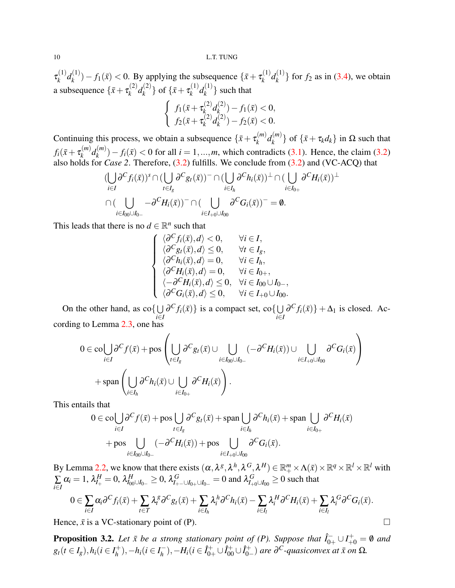$\tau_k^{(1)}$  $a_k^{(1)}d_k^{(1)}$  $f_k^{(1)}$ ) –  $f_1(\bar{x})$  < 0. By applying the subsequence  $\{\bar{x} + \tau_k^{(1)}\}$  $\binom{1}{k} d_k^{(1)}$  $\{k^{(1)}\}$  for  $f_2$  as in [\(3.4\)](#page-8-2), we obtain a subsequence  $\{\bar{x} + \tau_k^{(2)}\}$  $\binom{2}{k}$ *d*<sup>(2)</sup>  $\{(\begin{matrix} 2 \\ k \end{matrix})\}$  of  $\{\bar{x} + \tau_k^{(1)}\}$  $\binom{(1)}{k}$  $d_k^{(1)}$  $\{k^{(1)}\}$  such that

$$
\begin{cases}\nf_1(\bar{x} + \tau_k^{(2)} d_k^{(2)}) - f_1(\bar{x}) < 0, \\
f_2(\bar{x} + \tau_k^{(2)} d_k^{(2)}) - f_2(\bar{x}) < 0.\n\end{cases}
$$

Continuing this process, we obtain a subsequence  $\{\bar{x} + \tau_k^{(m)}\}$  $\binom{m}{k}$ *d* $\binom{m}{k}$  $\{(\mathbf{x}^{(m)})\}$  of  $\{\bar{\mathbf{x}} + \tau_k d_k\}$  in  $\Omega$  such that  $f_i(\bar{x}+\tau_k^{(m)})$  $\binom{m}{k}$  $d_k^{(m)}$  $f_i^{(m)}(k) - f_i(\bar{x}) < 0$  for all  $i = 1, ..., m$ , which contradicts [\(3.1\)](#page-8-3). Hence, the claim [\(3.2\)](#page-8-0) also holds for *Case 2*. Therefore, [\(3.2\)](#page-8-0) fulfills. We conclude from [\(3.2\)](#page-8-0) and (VC-ACQ) that

$$
\left(\bigcup_{i\in I}\partial^C f_i(\bar{x})\right)^s \cap \left(\bigcup_{t\in I_g}\partial^C g_t(\bar{x})\right)^- \cap \left(\bigcup_{i\in I_h}\partial^C h_i(\bar{x})\right)^{\perp} \cap \left(\bigcup_{i\in I_{0+}}\partial^C H_i(\bar{x})\right)^{\perp}
$$

$$
\cap \left(\bigcup_{i\in I_{00}\cup I_{0-}}-\partial^C H_i(\bar{x})\right)^- \cap \left(\bigcup_{i\in I_{+0}\cup I_{00}}\partial^C G_i(\bar{x})\right)^- = \emptyset.
$$

This leads that there is no  $d \in \mathbb{R}^n$  such that

$$
\begin{cases}\n\langle \partial^C f_i(\bar{x}), d \rangle < 0, & \forall i \in I, \\
\langle \partial^C g_i(\bar{x}), d \rangle \le 0, & \forall t \in I_g, \\
\langle \partial^C h_i(\bar{x}), d \rangle = 0, & \forall i \in I_h, \\
\langle \partial^C H_i(\bar{x}), d \rangle = 0, & \forall i \in I_{0+}, \\
\langle -\partial^C H_i(\bar{x}), d \rangle \le 0, & \forall i \in I_{00} \cup I_{0-}, \\
\langle \partial^C G_i(\bar{x}), d \rangle \le 0, & \forall i \in I_{+0} \cup I_{00}.\n\end{cases}
$$

On the other hand, as  $\text{co}\{\bigcup$ *i*∈*I*  $\partial^C f_i(\bar{x})\}$  is a compact set, co $\{\cup$ *i*∈*I*  $\partial^C f_i(\bar{x}) + \Delta_1$  is closed. According to Lemma [2.3,](#page-6-2) one has

$$
0 \in \text{col} \bigcup_{i \in I} \partial^C f(\bar{x}) + \text{pos} \left( \bigcup_{t \in I_g} \partial^C g_t(\bar{x}) \cup \bigcup_{i \in I_{00} \cup I_{0-}} (-\partial^C H_i(\bar{x})) \cup \bigcup_{i \in I_{+0} \cup I_{00}} \partial^C G_i(\bar{x}) \right) + \text{span} \left( \bigcup_{i \in I_h} \partial^C h_i(\bar{x}) \cup \bigcup_{i \in I_{0+}} \partial^C H_i(\bar{x}) \right).
$$

This entails that

$$
0 \in \text{co}\bigcup_{i \in I} \partial^C f(\bar{x}) + \text{pos}\bigcup_{t \in I_g} \partial^C g_t(\bar{x}) + \text{span}\bigcup_{i \in I_h} \partial^C h_i(\bar{x}) + \text{span}\bigcup_{i \in I_{0+}} \partial^C H_i(\bar{x})
$$
  
+ 
$$
\text{pos}\bigcup_{i \in I_{00} \cup I_{0-}} (-\partial^C H_i(\bar{x})) + \text{pos}\bigcup_{i \in I_{+0} \cup I_{00}} \partial^C G_i(\bar{x}).
$$

By Lemma [2.2,](#page-6-1) we know that there exists  $(\alpha, \lambda^g, \lambda^h, \lambda^G, \lambda^H) \in \mathbb{R}^m_+ \times \Lambda(\bar{x}) \times \mathbb{R}^q \times \mathbb{R}^l \times \mathbb{R}^l$  with ∑ *i*∈*I*  $\alpha_i = 1$ ,  $\lambda_{I_+}^H = 0$ ,  $\lambda_{I_{00}\cup I_{0-}}^H \ge 0$ ,  $\lambda_{I_{+-}\cup I_{0+}}^G = 0$  and  $\lambda_{I_{+0}\cup I_{00}}^G \ge 0$  such that

$$
0\in \sum_{i\in I}\alpha_i\partial^C f_i(\bar{x})+\sum_{t\in T}\lambda_i^{\bar{g}}\partial^C g_t(\bar{x})+\sum_{i\in I_h}\lambda_i^h\partial^C h_i(\bar{x})-\sum_{i\in I_l}\lambda_i^H\partial^C H_i(\bar{x})+\sum_{i\in I_l}\lambda_i^G\partial^C G_i(\bar{x}).
$$

Hence,  $\bar{x}$  is a VC-stationary point of (P).

<span id="page-9-0"></span>**Proposition 3.2.** Let  $\bar{x}$  be a strong stationary point of (P). Suppose that  $\hat{I}_{0+} \cup I_{+0}^+ = \emptyset$  and  $g_t(t \in I_g)$ ,  $h_i(t \in I_h^+)$  $h_1^{\{+}}$ ), −*h*<sub>*i*</sub>( $i \in I_h^$ *h*<sup>−</sup>),−*H*<sub>*i*</sub>( $i \in \hat{I}_{0+}^+ \cup \hat{I}_{00}^+ \cup \hat{I}_{0-}^+$  $\partial_{0-}^{C}$  *are*  $\partial^{C}$ *-quasiconvex at*  $\bar{x}$  *on*  $\Omega$ *.*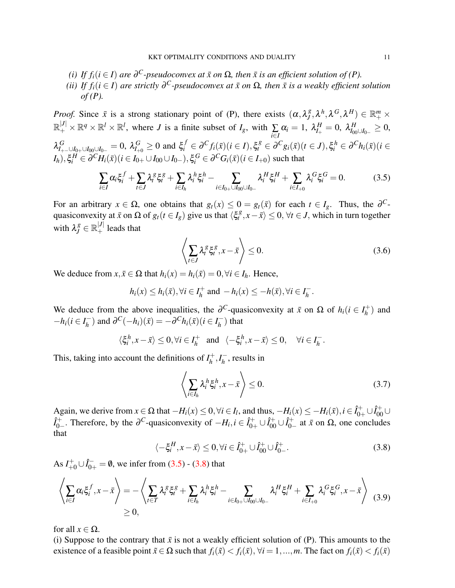- *(i) If*  $f_i$  ( $i \in I$ ) are  $\partial^C$ -pseudoconvex at  $\bar{x}$  on  $\Omega$ , then  $\bar{x}$  is an efficient solution of (P).
- *(ii)* If  $f_i$ ( $i \in I$ ) are strictly  $\partial^C$ -pseudoconvex at  $\bar{x}$  on  $\Omega$ , then  $\bar{x}$  is a weakly efficient solution *of (P).*

*Proof.* Since  $\bar{x}$  is a strong stationary point of (P), there exists  $(\alpha, \lambda_j^g)$  $\mathbf{A}^{g}, \boldsymbol{\lambda}^h, \boldsymbol{\lambda}^G, \boldsymbol{\lambda}^H) \in \mathbb{R}_{+}^m \times$  $\mathbb{R}^{|J|}_+ \times \mathbb{R}^q \times \mathbb{R}^l \times \mathbb{R}^l$ , where *J* is a finite subset of *I<sub>g</sub>*, with  $\sum_{i \in I}$  $\alpha_i = 1, \ \lambda_{I_+}^H = 0, \ \lambda_{I_{00} \cup I_{0-}}^H \geq 0,$  $\lambda_{I_{+-} \cup I_{0+} \cup I_{00} \cup I_{0-}}^G = 0$ ,  $\lambda_{I_{+0}}^G \ge 0$  and  $\xi_i^f \in \partial^C f_i(\bar{x}) (i \in I)$ ,  $\xi_i^g \in \partial^C g_i(\bar{x}) (t \in J)$ ,  $\xi_i^h \in \partial^C h_i(\bar{x}) (i \in I)$  $I_h$ ), $\xi_i^H \in \partial^C H_i(\bar{x})$  (*i* ∈ *I*<sub>0+</sub> ∪ *I*<sub>00</sub> ∪ *I*<sub>0−</sub>), $\xi_i^G \in \partial^C G_i(\bar{x})$  (*i* ∈ *I*<sub>+0</sub>) such that

<span id="page-10-0"></span>
$$
\sum_{i \in I} \alpha_i \xi_i^f + \sum_{t \in J} \lambda_i^g \xi_i^g + \sum_{i \in I_h} \lambda_i^h \xi_i^h - \sum_{i \in I_{0+} \cup I_{00} \cup I_{0-}} \lambda_i^H \xi_i^H + \sum_{i \in I_{+0}} \lambda_i^G \xi_i^G = 0.
$$
 (3.5)

For an arbitrary  $x \in \Omega$ , one obtains that  $g_t(x) \leq 0 = g_t(\bar{x})$  for each  $t \in I_g$ . Thus, the  $\partial^{C}$ quasiconvexity at  $\bar{x}$  on  $\Omega$  of  $g_t(t \in I_g)$  give us that  $\langle \xi_t^g \rangle$  $\langle x_t^g, x - \bar{x} \rangle \leq 0, \forall t \in J$ , which in turn together with  $\lambda_j^g \in \mathbb{R}_+^{|J|}$  leads that

$$
\left\langle \sum_{t \in J} \lambda_t^{\mathcal{S}} \xi_t^{\mathcal{S}}, x - \bar{x} \right\rangle \le 0.
$$
\n(3.6)

We deduce from  $x, \bar{x} \in \Omega$  that  $h_i(x) = h_i(\bar{x}) = 0, \forall i \in I_h$ . Hence,

$$
h_i(x) \leq h_i(\bar{x}), \forall i \in I_h^+ \text{ and } -h_i(x) \leq -h(\bar{x}), \forall i \in I_h^-.
$$

We deduce from the above inequalities, the  $\partial^C$ -quasiconvexity at  $\bar{x}$  on  $\Omega$  of  $h_i$  ( $i \in I_h^+$  $h$ <sup>+</sup>) and  $-h_i$ ( $i \in I_h^ \overline{h}_h^{\text{-}}$ ) and  $\partial^C(-h_i)(\overline{x}) = -\partial^C h_i(\overline{x})(i \in I_h^{\text{-}})$  $\binom{n}{h}$  that

$$
\langle \xi_i^h, x - \bar{x} \rangle \leq 0, \forall i \in I_h^+ \text{ and } \langle -\xi_i^h, x - \bar{x} \rangle \leq 0, \forall i \in I_h^-.
$$

This, taking into account the definitions of  $I_h^+$  $I_h^+, I_h^ \overline{h}$ , results in

$$
\left\langle \sum_{i \in I_h} \lambda_i^h \xi_i^h, x - \bar{x} \right\rangle \le 0.
$$
\n(3.7)

Again, we derive from  $x \in \Omega$  that  $-H_i(x) \leq 0, \forall i \in I_l$ , and thus,  $-H_i(x) \leq -H_i(\bar{x})$ ,  $i \in \hat{I}_{0+}^+ \cup \hat{I}_{00}^+ \cup$  $\hat{I}_{0-}^{+}$ <sup>2+</sup> ∴ Therefore, by the ∂<sup>C</sup>-quasiconvexity of  $-H_i$ ,  $i \in \hat{I}_{0+}^+ \cup \hat{I}_{00}^+ \cup \hat{I}_{0-}^+$  $_{0-}^{+}$  at  $\bar{x}$  on  $\Omega$ , one concludes that

<span id="page-10-1"></span>
$$
\langle -\xi_i^H, x - \bar{x} \rangle \le 0, \forall i \in \hat{I}_{0+}^+ \cup \hat{I}_{00}^+ \cup \hat{I}_{0-}^+.
$$
 (3.8)

As  $I_{+0}^{+} \cup \hat{I}_{0+}^{-} = \emptyset$ , we infer from [\(3.5\)](#page-10-0) - [\(3.8\)](#page-10-1) that

<span id="page-10-2"></span>
$$
\left\langle \sum_{i\in I} \alpha_i \xi_i^f, x - \bar{x} \right\rangle = -\left\langle \sum_{t\in T} \lambda_t^g \xi_t^g + \sum_{i\in I_h} \lambda_i^h \xi_i^h - \sum_{i\in I_{0+} \cup I_{00} \cup I_{0-}} \lambda_i^H \xi_i^H + \sum_{i\in I_{+0}} \lambda_i^G \xi_i^G, x - \bar{x} \right\rangle
$$
(3.9)  

$$
\geq 0,
$$

for all  $x \in \Omega$ .

(i) Suppose to the contrary that  $\bar{x}$  is not a weakly efficient solution of (P). This amounts to the existence of a feasible point  $\tilde{x} \in \Omega$  such that  $f_i(\tilde{x}) < f_i(\bar{x})$ ,  $\forall i = 1, ..., m$ . The fact on  $f_i(\tilde{x}) < f_i(\bar{x})$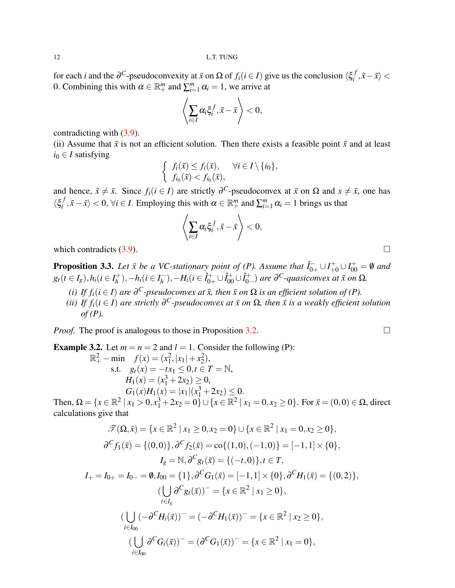for each *i* and the  $\partial^C$ -pseudoconvexity at  $\bar{x}$  on  $\Omega$  of  $f_i$  ( $i \in I$ ) give us the conclusion  $\langle \xi_i^f \rangle$  $\langle$ <sup>*j*</sup>,  $\tilde{x}$  −  $\bar{x}$ </sub> $\rangle$  < 0. Combining this with  $\alpha \in \mathbb{R}^m_+$  and  $\sum_{i=1}^m \alpha_i = 1$ , we arrive at

$$
\left\langle \sum_{i\in I}\alpha_i\xi_i^f,\tilde{x}-\bar{x}\right\rangle < 0,
$$

contradicting with [\(3.9\)](#page-10-2).

(ii) Assume that  $\bar{x}$  is not an efficient solution. Then there exists a feasible point  $\tilde{x}$  and at least  $i_0 \in I$  satisfying

$$
\begin{cases} f_i(\tilde{x}) \le f_i(\bar{x}), & \forall i \in I \setminus \{i_0\}, \\ f_{i_0}(\tilde{x}) < f_{i_0}(\bar{x}), \end{cases}
$$

and hence,  $\tilde{x} \neq \bar{x}$ . Since  $f_i(i \in I)$  are strictly  $\partial^C$ -pseudoconvex at  $\bar{x}$  on  $\Omega$  and  $x \neq \bar{x}$ , one has  $\langle \xi_i^f$  $\langle f, \tilde{x} - \bar{x} \rangle < 0$ ,  $\forall i \in I$ . Employing this with  $\alpha \in \mathbb{R}^m_+$  and  $\sum_{i=1}^m \alpha_i = 1$  brings us that

$$
\left\langle \sum_{i\in I}\alpha_i\xi_i^f,\tilde{x}-\bar{x}\right\rangle < 0,
$$

which contradicts  $(3.9)$ .

<span id="page-11-0"></span>**Proposition 3.3.** Let  $\bar{x}$  be a VC-stationary point of (P). Assume that  $\hat{I}_{0+}^- \cup I_{+0}^+ \cup I_{00}^+ = \emptyset$  and  $g_t(t \in I_g)$ ,  $h_i(t \in I_h^+)$  $h_1^{\{+}}$ ), −*h*<sub>*i*</sub>( $i \in I_h^$ *h*<sup>−</sup>),−*H*<sub>*i*</sub>( $i \in \hat{I}_{0+}^+ \cup \hat{I}_{00}^+ \cup \hat{I}_{0-}^+$  $\partial_{0-}^{C}$  *are*  $\partial^{C}$ *-quasiconvex at*  $\bar{x}$  *on*  $\Omega$ *.* 

*(i) If*  $f_i$  *(i*  $\in$  *I*) *are*  $\partial^C$ *-pseudoconvex at*  $\bar{x}$ *, then*  $\bar{x}$  *on*  $\Omega$  *is an efficient solution of (P)*. *(ii)* If  $f_i$ ( $i \in I$ ) are strictly  $\partial^C$ -pseudoconvex at  $\bar{x}$  on  $\Omega$ , then  $\bar{x}$  is a weakly efficient solution *of (P).*

*Proof.* The proof is analogous to those in Proposition [3.2.](#page-9-0)

**Example 3.2.** Let  $m = n = 2$  and  $l = 1$ . Consider the following (P):  $\mathbb{R}^2_+$  - min  $f(x) = (x_1^2, |x_1| + x_2^2),$ s.t.  $g_t(x) = -tx_1 \leq 0, t \in T = \mathbb{N}$ ,  $H_1(x) = (x_1^3 + 2x_2) \geq 0,$  $G_1(x)H_1(x) = |x_1|(x_1^3 + 2x_2) \leq 0.$ 

Then,  $\Omega = \{x \in \mathbb{R}^2 \mid x_1 > 0, x_1^3 + 2x_2 = 0\} \cup \{x \in \mathbb{R}^2 \mid x_1 = 0, x_2 \ge 0\}$ . For  $\bar{x} = (0,0) \in \Omega$ , direct calculations give that

$$
\mathcal{T}(\Omega,\bar{x}) = \{x \in \mathbb{R}^2 \mid x_1 \ge 0, x_2 = 0\} \cup \{x \in \mathbb{R}^2 \mid x_1 = 0, x_2 \ge 0\},
$$
  
\n
$$
\partial^C f_1(\bar{x}) = \{(0,0)\}, \partial^C f_2(\bar{x}) = \text{co}\{(1,0), (-1,0)\} = [-1,1] \times \{0\},
$$
  
\n
$$
I_g = \mathbb{N}, \partial^C g_t(\bar{x}) = \{(-t,0)\}, t \in T,
$$
  
\n
$$
I_+ = I_{0+} = I_{0-} = \emptyset, I_{00} = \{1\}, \partial^C G_1(\bar{x}) = [-1,1] \times \{0\}, \partial^C H_1(\bar{x}) = \{(0,2)\},
$$
  
\n
$$
(\bigcup_{t \in I_g} \partial^C g_t(\bar{x}))^- = \{x \in \mathbb{R}^2 \mid x_1 \ge 0\},
$$
  
\n
$$
(\bigcup_{i \in I_{00}} (-\partial^C H_i(\bar{x}))^- = (-\partial^C H_1(\bar{x}))^- = \{x \in \mathbb{R}^2 \mid x_2 \ge 0\},
$$
  
\n
$$
(\bigcup_{i \in I_{00}} \partial^C G_i(\bar{x}))^- = (\partial^C G_1(\bar{x}))^- = \{x \in \mathbb{R}^2 \mid x_1 = 0\},
$$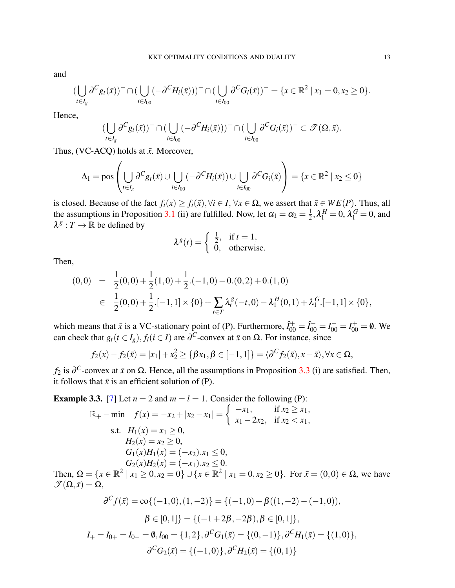and

$$
(\bigcup_{t\in I_g} \partial^C g_t(\bar{x}))^-\cap (\bigcup_{i\in I_{00}} (-\partial^C H_i(\bar{x})))^-\cap (\bigcup_{i\in I_{00}} \partial^C G_i(\bar{x}))^-=\{x\in \mathbb{R}^2 \mid x_1=0, x_2\geq 0\}.
$$

Hence,

$$
(\bigcup_{t\in I_g}\partial^C g_t(\bar x))^-\cap(\bigcup_{i\in I_{00}}(-\partial^C H_i(\bar x)))^-\cap(\bigcup_{i\in I_{00}}\partial^C G_i(\bar x))^-\subset\mathscr{T}(\Omega,\bar x).
$$

Thus, (VC-ACQ) holds at  $\bar{x}$ . Moreover,

$$
\Delta_1 = \text{pos}\left(\bigcup_{t \in I_g} \partial^C g_t(\bar{x}) \cup \bigcup_{i \in I_{00}} (-\partial^C H_i(\bar{x})) \cup \bigcup_{i \in I_{00}} \partial^C G_i(\bar{x})\right) = \{x \in \mathbb{R}^2 \mid x_2 \le 0\}
$$

is closed. Because of the fact  $f_i(x) \ge f_i(\bar{x}), \forall i \in I, \forall x \in \Omega$ , we assert that  $\bar{x} \in WE(P)$ . Thus, all the assumptions in Proposition [3.1](#page-7-0) (ii) are fulfilled. Now, let  $\alpha_1 = \alpha_2 = \frac{1}{2}$  $\frac{1}{2}, \lambda_1^H = 0, \lambda_1^G = 0$ , and  $\lambda^g: T \to \mathbb{R}$  be defined by

$$
\lambda^{g}(t) = \begin{cases} \frac{1}{2}, & \text{if } t = 1, \\ 0, & \text{otherwise.} \end{cases}
$$

Then,

$$
\begin{array}{lcl} (0,0) & = & \frac{1}{2}(0,0)+\frac{1}{2}(1,0)+\frac{1}{2}.(-1,0)-0.(0,2)+0.(1,0) \\ \\ & \in & \frac{1}{2}(0,0)+\frac{1}{2}.[-1,1]\times\{0\}+\sum_{t\in T}\lambda_t^g(-t,0)-\lambda_1^H(0,1)+\lambda_1^G.[-1,1]\times\{0\}, \end{array}
$$

which means that  $\bar{x}$  is a VC-stationary point of (P). Furthermore,  $\hat{I}_{00}^{+} = \hat{I}_{00}^{-} = I_{00}^{-} = I_{00}^{+} = \emptyset$ . We can check that  $g_t(t \in I_g)$ ,  $f_i(t \in I)$  are  $\partial^C$ -convex at  $\bar{x}$  on  $\Omega$ . For instance, since

$$
f_2(x)-f_2(\bar{x})=|x_1|+x_2^2\geq {\beta x_1, \beta\in [-1,1]}=\langle \partial^C f_2(\bar{x}), x-\bar{x}\rangle, \forall x\in\Omega,
$$

*f*<sub>2</sub> is  $\partial^C$ -convex at  $\bar{x}$  on  $\Omega$ . Hence, all the assumptions in Proposition [3.3](#page-11-0) (i) are satisfied. Then, it follows that  $\bar{x}$  is an efficient solution of (P).

**Example 3.3.** [\[7\]](#page-25-0) Let  $n = 2$  and  $m = l = 1$ . Consider the following (P):

$$
\mathbb{R}_{+} - \min \quad f(x) = -x_{2} + |x_{2} - x_{1}| = \begin{cases} -x_{1}, & \text{if } x_{2} \ge x_{1}, \\ x_{1} - 2x_{2}, & \text{if } x_{2} < x_{1}, \end{cases}
$$
\n
$$
\text{s.t.} \quad H_{1}(x) = x_{1} \ge 0,
$$
\n
$$
H_{2}(x) = x_{2} \ge 0,
$$
\n
$$
G_{1}(x)H_{1}(x) = (-x_{2}).x_{1} \le 0,
$$
\n
$$
G_{2}(x)H_{2}(x) = (-x_{1}).x_{2} \le 0.
$$
\n
$$
\text{Then, } \Omega = \{x \in \mathbb{R}^{2} \mid x_{1} \ge 0, x_{2} = 0\} \cup \{x \in \mathbb{R}^{2} \mid x_{1} = 0, x_{2} \ge 0\}. \text{ For } \bar{x} = (0,0) \in \Omega, \text{ we have}
$$
\n
$$
\mathcal{I}(\Omega, \bar{x}) = \Omega,
$$

$$
\partial^C f(\bar{x}) = \text{co}\{(-1,0), (1,-2)\} = \{(-1,0) + \beta((1,-2) - (-1,0)),
$$

$$
\beta \in [0,1]\} = \{(-1+2\beta, -2\beta), \beta \in [0,1]\},
$$

$$
I_+ = I_{0+} = I_{0-} = \emptyset, I_{00} = \{1,2\}, \partial^C G_1(\bar{x}) = \{(0,-1)\}, \partial^C H_1(\bar{x}) = \{(1,0)\},
$$

$$
\partial^C G_2(\bar{x}) = \{(-1,0)\}, \partial^C H_2(\bar{x}) = \{(0,1)\}
$$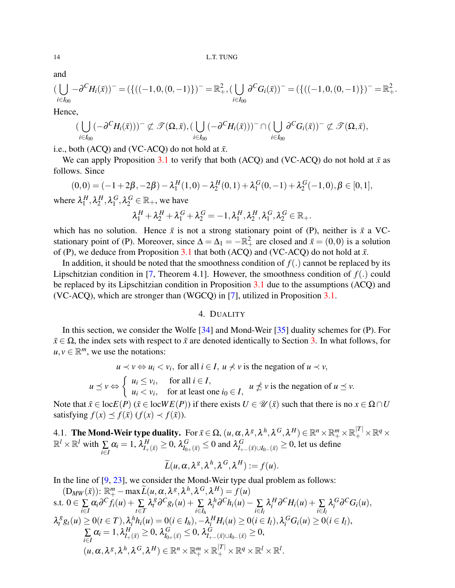and

$$
(\bigcup_{i\in I_{00}} -\partial^C H_i(\bar{x}))^- = (\{((-1,0,(0,-1))\})^- = \mathbb{R}^2_+, (\bigcup_{i\in I_{00}} \partial^C G_i(\bar{x}))^- = (\{((-1,0,(0,-1))\})^- = \mathbb{R}^2_+.
$$

Hence,

$$
(\bigcup_{i\in I_{00}}(-\partial^C H_i(\bar{x})))^-\not\subset \mathscr{T}(\Omega,\bar{x}),(\bigcup_{i\in I_{00}}(-\partial^C H_i(\bar{x})))^-\cap (\bigcup_{i\in I_{00}}\partial^C G_i(\bar{x}))^-\not\subset \mathscr{T}(\Omega,\bar{x}),
$$

i.e., both (ACQ) and (VC-ACQ) do not hold at  $\bar{x}$ .

We can apply Proposition [3.1](#page-7-0) to verify that both (ACO) and (VC-ACO) do not hold at  $\bar{x}$  as follows. Since

$$
(0,0) = (-1+2\beta, -2\beta) - \lambda_1^H(1,0) - \lambda_2^H(0,1) + \lambda_1^G(0,-1) + \lambda_2^G(-1,0), \beta \in [0,1],
$$

where  $\lambda_1^H$  $\lambda_1^H$ ,  $\lambda_2^H$  $^H_2, \lambda^G_1$  $_1^G, \lambda_2^G \in \mathbb{R}_+$ , we have

$$
\lambda_1^H + \lambda_2^H + \lambda_1^G + \lambda_2^G = -1, \lambda_1^H, \lambda_2^H, \lambda_1^G, \lambda_2^G \in \mathbb{R}_+.
$$

which has no solution. Hence  $\bar{x}$  is not a strong stationary point of (P), neither is  $\bar{x}$  a VCstationary point of (P). Moreover, since  $\Delta = \Delta_1 = -\mathbb{R}^2_+$  are closed and  $\bar{x} = (0,0)$  is a solution of (P), we deduce from Proposition [3.1](#page-7-0) that both (ACQ) and (VC-ACQ) do not hold at  $\bar{x}$ .

In addition, it should be noted that the smoothness condition of *f*(.) cannot be replaced by its Lipschitzian condition in [\[7,](#page-25-0) Theorem 4.1]. However, the smoothness condition of  $f(.)$  could be replaced by its Lipschitzian condition in Proposition [3.1](#page-7-0) due to the assumptions (ACQ) and (VC-ACQ), which are stronger than (WGCQ) in [\[7\]](#page-25-0), utilized in Proposition [3.1.](#page-7-0)

# 4. DUALITY

<span id="page-13-0"></span>In this section, we consider the Wolfe [\[34\]](#page-25-27) and Mond-Weir [\[35\]](#page-25-28) duality schemes for (P). For  $\bar{x} \in \Omega$ , the index sets with respect to  $\bar{x}$  are denoted identically to Section [3.](#page-6-0) In what follows, for  $u, v \in \mathbb{R}^m$ , we use the notations:

 $u \prec v \Leftrightarrow u_i \prec v_i$ , for all  $i \in I$ ,  $u \nprec v$  is the negation of  $u \prec v$ ,

*u*  $\preceq$  *v* ⇔  $\int u_i \leq v_i$ , for all  $i \in I$ ,  $u_i < v_i$ , for at least one  $i_0 \in I$ ,  $u \nleq v$  is the negation of  $u \leq v$ .

Note that  $\bar{x} \in \text{loc } E(P)$  ( $\bar{x} \in \text{loc } WE(P)$ ) if there exists  $U \in \mathcal{U}(\bar{x})$  such that there is no  $x \in \Omega \cap U$ satisfying  $f(x) \preceq f(\bar{x}) (f(x) \prec f(\bar{x})).$ 

4.1. The Mond-Weir type duality. For  $\bar{x}\in\Omega$ ,  $(u,\alpha,\lambda^g,\lambda^h,\lambda^G,\lambda^H)\in\mathbb{R}^n\times\mathbb{R}^m_+\times\mathbb{R}^{|T|}_+\times\mathbb{R}^q\times$  $\mathbb{R}^l \times \mathbb{R}^l$  with  $\sum_{i \in I}$  $\alpha_i = 1$ ,  $\lambda_{I_+(\bar{x})}^H \ge 0$ ,  $\lambda_{I_{0+}(\bar{x})}^G \le 0$  and  $\lambda_{I_{+-}(\bar{x})\cup I_{0-}(\bar{x})}^G \ge 0$ , let us define

$$
\widetilde{L}(u,\alpha,\lambda^g,\lambda^h,\lambda^G,\lambda^H):=f(u).
$$

In the line of [\[9,](#page-25-2) [23\]](#page-25-16), we consider the Mond-Weir type dual problem as follows:

$$
(D_{MW}(\bar{x}))\colon \mathbb{R}_{+}^{m} - \max \widetilde{L}(u, \alpha, \lambda^{g}, \lambda^{h}, \lambda^{G}, \lambda^{H}) = f(u)
$$
  
s.t.  $0 \in \sum_{i \in I} \alpha_{i} \partial^{C} f_{i}(u) + \sum_{t \in T} \lambda_{i}^{g} \partial^{C} g_{t}(u) + \sum_{i \in I_{h}} \lambda_{i}^{h} \partial^{C} h_{i}(u) - \sum_{i \in I_{l}} \lambda_{i}^{H} \partial^{C} H_{i}(u) + \sum_{i \in I_{l}} \lambda_{i}^{G} \partial^{C} G_{i}(u),$   
 $\lambda_{i}^{g} g_{t}(u) \ge 0 (t \in T), \lambda_{i}^{h} h_{i}(u) = 0 (i \in I_{h}), -\lambda_{i}^{H} H_{i}(u) \ge 0 (i \in I_{l}), \lambda_{i}^{G} G_{i}(u) \ge 0 (i \in I_{l}),$   
 $\sum_{i \in I} \alpha_{i} = 1, \lambda_{I_{+}(\bar{x})}^{H} \ge 0, \lambda_{I_{0+}(\bar{x})}^{G} \le 0, \lambda_{I_{+-}(\bar{x}) \cup I_{0-}(\bar{x})}^{G} \ge 0,$   
 $(u, \alpha, \lambda^{g}, \lambda^{h}, \lambda^{G}, \lambda^{H}) \in \mathbb{R}^{n} \times \mathbb{R}_{+}^{m} \times \mathbb{R}_{+}^{|T|} \times \mathbb{R}^{g} \times \mathbb{R}^{l} \times \mathbb{R}^{l}.$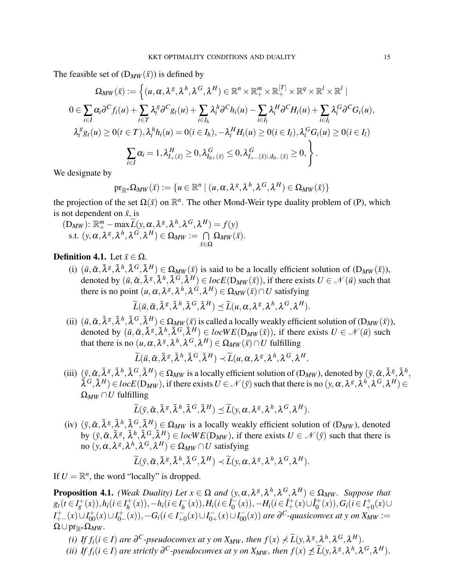The feasible set of  $(D_{MW}(\bar{x}))$  is defined by

$$
\Omega_{MW}(\bar{x}) := \left\{ (u, \alpha, \lambda^g, \lambda^h, \lambda^G, \lambda^H) \in \mathbb{R}^n \times \mathbb{R}_+^m \times \mathbb{R}_+^{|T|} \times \mathbb{R}^q \times \mathbb{R}^l \times \mathbb{R}^l \mid
$$
  
\n
$$
0 \in \sum_{i \in I} \alpha_i \partial^C f_i(u) + \sum_{t \in T} \lambda_i^g \partial^C g_t(u) + \sum_{i \in I_h} \lambda_i^h \partial^C h_i(u) - \sum_{i \in I_l} \lambda_i^H \partial^C H_i(u) + \sum_{i \in I_l} \lambda_i^G \partial^C G_i(u),
$$
  
\n
$$
\lambda_i^g g_t(u) \ge 0 (t \in T), \lambda_i^h h_i(u) = 0 (i \in I_h), -\lambda_i^H H_i(u) \ge 0 (i \in I_l), \lambda_i^G G_i(u) \ge 0 (i \in I_l)
$$
  
\n
$$
\sum_{i \in I} \alpha_i = 1, \lambda_{I_+(\bar{x})}^H \ge 0, \lambda_{I_{0+}(\bar{x})}^G \le 0, \lambda_{I_{+-}(\bar{x}) \cup I_{0-}(\bar{x})}^G \ge 0,
$$

We designate by

$$
\mathrm{pr}_{\mathbb{R}^n}\Omega_{MW}(\bar x):=\{u\in\mathbb{R}^n\mid (u,\alpha,\lambda^g,\lambda^h,\lambda^G,\lambda^H)\in\Omega_{MW}(\bar x)\}
$$

the projection of the set  $\Omega(\bar{x})$  on  $\mathbb{R}^n$ . The other Mond-Weir type duality problem of (P), which is not dependent on  $\bar{x}$ , is

$$
(\mathbf{D}_{MW}): \mathbb{R}_{+}^{m} - \max \widetilde{L}(y, \alpha, \lambda^{g}, \lambda^{h}, \lambda^{G}, \lambda^{H}) = f(y)
$$
  
s.t.  $(y, \alpha, \lambda^{g}, \lambda^{h}, \lambda^{G}, \lambda^{H}) \in \Omega_{MW} := \bigcap_{\bar{x} \in \Omega} \Omega_{MW}(\bar{x}).$ 

# **Definition 4.1.** Let  $\bar{x} \in \Omega$ .

(i)  $(\bar{u}, \bar{\alpha}, \bar{\lambda}^g, \bar{\lambda}^h, \bar{\lambda}^G, \bar{\lambda}^H) \in \Omega_{MW}(\bar{x})$  is said to be a locally efficient solution of  $(D_{MW}(\bar{x}))$ , denoted by  $(\bar{u}, \bar{\alpha}, \bar{\lambda}^g, \bar{\lambda}^h, \bar{\lambda}^G, \bar{\lambda}^H) \in locE(D_{MW}(\bar{x}))$ , if there exists  $U \in \mathcal{N}(\bar{u})$  such that there is no point  $(u, \alpha, \lambda^g, \lambda^h, \lambda^G, \lambda^H) \in \Omega_{MW}(\bar{x}) \cap U$  satisfying

$$
\widetilde{L}(\bar{u}, \bar{\alpha}, \bar{\lambda}^g, \bar{\lambda}^h, \bar{\lambda}^G, \bar{\lambda}^H) \preceq \widetilde{L}(u, \alpha, \lambda^g, \lambda^h, \lambda^G, \lambda^H).
$$

(ii)  $(\bar{u}, \bar{\alpha}, \bar{\lambda}^g, \bar{\lambda}^h, \bar{\lambda}^G, \bar{\lambda}^H) \in \Omega_{MW}(\bar{x})$  is called a locally weakly efficient solution of  $(D_{MW}(\bar{x}))$ , denoted by  $(\bar{u}, \bar{\alpha}, \bar{\lambda}^g, \bar{\lambda}^h, \bar{\lambda}^G, \dot{\bar{\lambda}}^H) \in locWE(D_{MW}(\bar{x}))$ , if there exists  $U \in \mathcal{N}(\bar{u})$  such that there is no  $(u, \alpha, \lambda^g, \lambda^h, \lambda^G, \lambda^H) \in \Omega_{MW}(\bar{x}) \cap U$  fulfilling

$$
\widetilde{L}(\bar{u},\bar{\alpha},\bar{\lambda}^g,\bar{\lambda}^h,\bar{\lambda}^G,\bar{\lambda}^H)\prec \widetilde{L}(u,\alpha,\lambda^g,\lambda^h,\lambda^G,\lambda^H.
$$

(iii)  $(\bar{y}, \bar{\alpha}, \bar{\lambda}^g, \bar{\lambda}^h, \bar{\lambda}^G, \bar{\lambda}^H) \in \Omega_{MW}$  is a locally efficient solution of  $(D_{MW})$ , denoted by  $(\bar{y}, \bar{\alpha}, \bar{\lambda}^g, \bar{\lambda}^h, \bar{\lambda}^g, \bar{\lambda}^h, \bar{\lambda}^g, \bar{\lambda}^h, \bar{\lambda}^g, \bar{\lambda}^h, \bar{\lambda}^g, \bar{\lambda}^h, \bar{\lambda}^g, \bar{\lambda}^h, \bar$  $\tilde{\lambda}^G, \tilde{\lambda}^H) \in locE(D_{MW}),$  if there exists  $U \in \mathcal{N}(\bar{y})$  such that there is no  $(y, \alpha, \lambda^g, \lambda^h, \lambda^G, \lambda^H) \in$  $\Omega_{MW} \cap U$  fulfilling

$$
\widetilde{L}(\bar{y}, \bar{\alpha}, \bar{\lambda}^g, \bar{\lambda}^h, \bar{\lambda}^G, \bar{\lambda}^H) \preceq \widetilde{L}(y, \alpha, \lambda^g, \lambda^h, \lambda^G, \lambda^H).
$$

(iv)  $(\bar{y}, \bar{\alpha}, \bar{\lambda}^g, \bar{\lambda}^h, \bar{\lambda}^G, \bar{\lambda}^H) \in \Omega_{MW}$  is a locally weakly efficient solution of  $(D_{MW})$ , denoted by  $(\bar{y}, \bar{\alpha}, \bar{\lambda}^g, \bar{\lambda}^h, \bar{\lambda}^G, \bar{\lambda}^H) \in locWE(D_{MW})$ , if there exists  $U \in \mathcal{N}(\bar{y})$  such that there is  ${\rm co}$   $(y, \alpha, \lambda^g, \lambda^h, \lambda^G, \lambda^H) \in \Omega_{MW} \cap U$  satisfying

$$
\widetilde{L}(\bar{y}, \bar{\alpha}, \bar{\lambda}^g, \bar{\lambda}^h, \bar{\lambda}^G, \bar{\lambda}^H) \prec \widetilde{L}(y, \alpha, \lambda^g, \lambda^h, \lambda^G, \lambda^H).
$$

If  $U = \mathbb{R}^n$ , the word "locally" is dropped.

**Proposition 4.1.** *(Weak Duality) Let*  $x \in \Omega$  *and*  $(y, \alpha, \lambda^g, \lambda^h, \lambda^G, \lambda^H) \in \Omega_{MW}$ *. Suppose that*  $g_t(t \in I_g^+(x)), h_i(t \in I_h^+$  $h_1^+(x)$ ),−*h*<sub>*i*</sub>( $i \in I_h^ H_i^-(x)$ ,  $H_i$  ( $i \in \hat{I}_0^ \hat{I}_0^-(x)$ ),  $-H_i$ ( $i \in \hat{I}_+^+(x) \cup \hat{I}_0^+$  $G_i^+(x)$ ,  $G_i$  ( $i \in I^+_{+0}$ +0 (*x*)∪ *I*<sup>+</sup><sub>+−</sub>(*x*)∪*I*<sub>0</sub><sup>+</sup><sub>0</sub><sup>-</sup>  $G_{0-}^{+}(x)$ ),  $-G_i$ ( $i \in I_{+}^{-}$  $I_{+0}^{-}(x) \cup I_{0+}^{-}$  $\overline{O}_{0+}(x) \cup I_{00}^{-}(x)$  *are*  $\partial^C$ -quasiconvex at y on  $X_{MW}$  :=  $\Omega \cup \mathrm{pr}_{\mathbb{R}^n} \Omega_{MW}.$ 

- *(i) If*  $f_i$  *(i* ∈ *I*) *are*  $\partial^C$ -pseudoconvex at y on X<sub>MW</sub>, then  $f(x) \neq \tilde{L}(y, \lambda^g, \lambda^h, \lambda^G, \lambda^H)$ .
- *(ii) If*  $f_i$ ( $i \in I$ ) are strictly  $\partial^C$ -pseudoconvex at y on  $X_{MW}$ , then  $f(x) \npreceq \widetilde{L}(y, \lambda^g, \lambda^h, \lambda^G, \lambda^H)$ .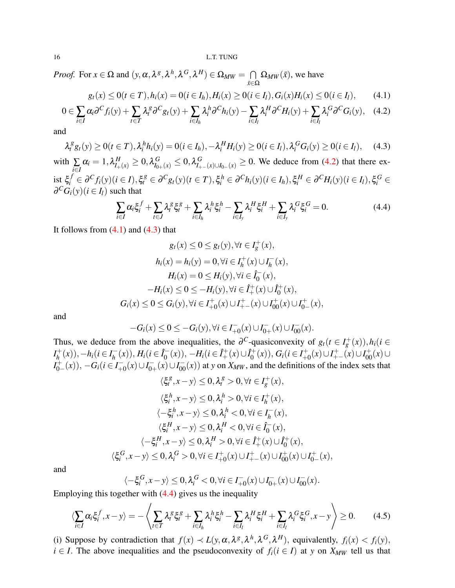*Proof.* For  $x \in \Omega$  and  $(y, \alpha, \lambda^g, \lambda^h, \lambda^G, \lambda^H) \in \Omega_{MW} = \bigcap$ *x*¯∈Ω  $\Omega_{MW}(\bar{x})$ , we have

<span id="page-15-1"></span>
$$
g_t(x) \le 0(t \in T), h_i(x) = 0(i \in I_h), H_i(x) \ge 0(i \in I_l), G_i(x)H_i(x) \le 0(i \in I_l), \quad (4.1)
$$

<span id="page-15-0"></span>
$$
0 \in \sum_{i \in I} \alpha_i \partial^C f_i(y) + \sum_{t \in T} \lambda_i^g \partial^C g_t(y) + \sum_{i \in I_h} \lambda_i^h \partial^C h_i(y) - \sum_{i \in I_l} \lambda_i^H \partial^C H_i(y) + \sum_{i \in I_l} \lambda_i^G \partial^C G_i(y), \quad (4.2)
$$

and

<span id="page-15-2"></span>
$$
\lambda_i^g g_t(y) \ge 0 \quad (t \in T), \lambda_i^h h_i(y) = 0 \quad (i \in I_h), \lambda_i^H H_i(y) \ge 0 \quad (i \in I_l), \lambda_i^G G_i(y) \ge 0 \quad (i \in I_l), \quad (4.3)
$$
\nwith 
$$
\sum_{i \in I} \alpha_i = 1, \lambda_{I_+(x)}^H \ge 0, \lambda_{I_{0+}(x)}^G \le 0, \lambda_{I_{+-}(x) \cup I_{0-}(x)}^G \ge 0.
$$
\nWe deduce from (4.2) that there exist 
$$
\xi_i^f \in \partial^C f_i(y) \quad (i \in I), \xi_i^g \in \partial^C g_t(y) \quad (t \in T), \xi_i^h \in \partial^C h_i(y) \quad (i \in I_h), \xi_i^H \in \partial^C H_i(y) \quad (i \in I_l), \xi_i^G \in \partial^C G_i(y) \quad (i \in I_l)
$$
\nsuch that

<span id="page-15-3"></span>
$$
\sum_{i\in I}\alpha_i\xi_i^f + \sum_{t\in J}\lambda_i^g\xi_t^g + \sum_{i\in I_h}\lambda_i^h\xi_i^h - \sum_{i\in I_y}\lambda_i^H\xi_i^H + \sum_{i\in I_y}\lambda_i^G\xi_i^G = 0.
$$
\n(4.4)

It follows from  $(4.1)$  and  $(4.3)$  that

$$
g_t(x) \le 0 \le g_t(y), \forall t \in I_g^+(x),
$$
  
\n
$$
h_i(x) = h_i(y) = 0, \forall i \in I_h^+(x) \cup I_h^-(x),
$$
  
\n
$$
H_i(x) = 0 \le H_i(y), \forall i \in \hat{I}_0^-(x),
$$
  
\n
$$
-H_i(x) \le 0 \le -H_i(y), \forall i \in \hat{I}_+^+(x) \cup \hat{I}_0^+(x),
$$
  
\n
$$
G_i(x) \le 0 \le G_i(y), \forall i \in I_{+0}^+(x) \cup I_{+-}^+(x) \cup I_{00}^+(x) \cup I_{0-}^+(x),
$$

and

$$
-G_i(x) \leq 0 \leq -G_i(y), \forall i \in I^-_{+0}(x) \cup I^-_{0+}(x) \cup I^-_{00}(x).
$$

Thus, we deduce from the above inequalities, the  $\partial^C$ -quasiconvexity of  $g_t(t \in I_g^+(x))$ ,  $h_i(t \in I_g^+(x))$  $I_h^+$  $h_1^+(x)$ ),− $h_i$ ( $i \in I_h^ H_i^-(x)$ ,  $H_i$  ( $i \in \hat{I}_0^ \hat{I}_0^-(x)$ ),  $-H_i(i \in \hat{I}_+^+(x) \cup \hat{I}_0^+$  $G_i^+(x)$ ,  $G_i$  ( $i \in I^+_{+i}$  $I_{+0}^{+}(x) \cup I_{+-}^{+}(x) \cup I_{00}^{+}(x) \cup$  $I_{0-}^{+}$  $\overline{G}_{0-}^{+}(x)$ ),  $-G_i$ ( $i \in I_{+}^{-}$  $I^-_{+0}(x) \cup I^-_{0+}$  $\overline{O_{0+}(x)} \cup I_{00}^{-}(x)$  at *y* on *X<sub>MW</sub>*, and the definitions of the index sets that

$$
\langle \xi_i^g, x - y \rangle \le 0, \lambda_i^g > 0, \forall t \in I_g^+(x),
$$
  

$$
\langle \xi_i^h, x - y \rangle \le 0, \lambda_i^h > 0, \forall i \in I_h^+(x),
$$
  

$$
\langle -\xi_i^h, x - y \rangle \le 0, \lambda_i^h < 0, \forall i \in I_h^-(x),
$$
  

$$
\langle \xi_i^H, x - y \rangle \le 0, \lambda_i^H < 0, \forall i \in \hat{I}_0^-(x),
$$
  

$$
\langle -\xi_i^H, x - y \rangle \le 0, \lambda_i^H > 0, \forall i \in \hat{I}_+^+(x) \cup \hat{I}_0^+(x),
$$
  

$$
\langle \xi_i^G, x - y \rangle \le 0, \lambda_i^G > 0, \forall i \in I_{+0}^+(x) \cup I_{+-}^+(x) \cup I_{00}^+(x) \cup I_{0-}^+(x)
$$

and

$$
\langle -\xi_i^G, x - y \rangle \le 0, \lambda_i^G < 0, \forall i \in I^-_{+0}(x) \cup I^-_{0+}(x) \cup I^-_{00}(x).
$$
  
other with (4.4) gives us the inequality

Employing this together with [\(4.4\)](#page-15-3) gives us the inequality

<span id="page-15-4"></span>
$$
\langle \sum_{i \in I} \alpha_i \xi_i^f, x - y \rangle = -\left\langle \sum_{t \in T} \lambda_i^g \xi_i^g + \sum_{i \in I_h} \lambda_i^h \xi_i^h - \sum_{i \in I_l} \lambda_i^H \xi_i^H + \sum_{i \in I_l} \lambda_i^G \xi_i^G, x - y \right\rangle \ge 0. \tag{4.5}
$$

(*x*),

(i) Suppose by contradiction that  $f(x) \prec L(y, \alpha, \lambda^g, \lambda^h, \lambda^G, \lambda^H)$ , equivalently,  $f_i(x) < f_i(y)$ , *i* ∈ *I*. The above inequalities and the pseudoconvexity of  $f_i$  (*i* ∈ *I*) at *y* on *X<sub>MW</sub>* tell us that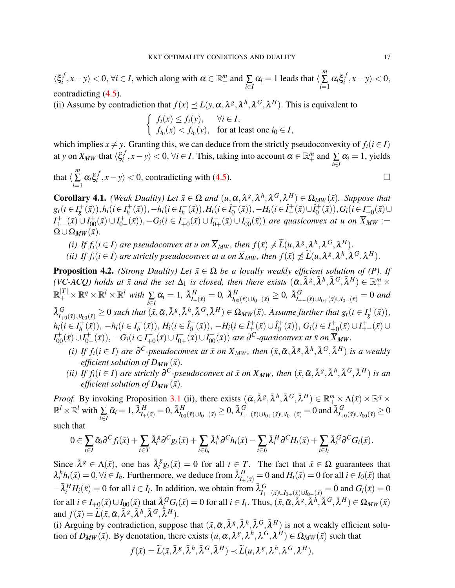$\langle \xi_i^f$  $\langle f, x-y \rangle < 0, \forall i \in I$ , which along with  $\alpha \in \mathbb{R}^m_+$  and  $\sum_{i \in I}$  $\alpha_i = 1$  leads that  $\langle \sum_{n=1}^{m} a_i \rangle$ ∑ *i*=1  $\alpha_i \xi_i^f$  $\langle x_i^J, x - y \rangle < 0,$ contradicting [\(4.5\)](#page-15-4).

(ii) Assume by contradiction that  $f(x) \leq L(y, \alpha, \lambda^g, \lambda^h, \lambda^G, \lambda^H)$ . This is equivalent to

*f*<sub>*i*</sub>(*x*) ≤ *f<sub>i</sub>*(*y*), ∀*i* ∈ *I*,  $f_{i_0}(x) < f_{i_0}(y)$ , for at least one  $i_0 \in I$ ,

which implies  $x \neq y$ . Granting this, we can deduce from the strictly pseudoconvexity of  $f_i(i \in I)$ at *y* on  $X_{MW}$  that  $\langle \xi_i^f \rangle$  $\langle f, x-y \rangle < 0, \forall i \in I$ . This, taking into account  $\alpha \in \mathbb{R}^m_+$  and  $\sum_{i \in I}$  $\alpha_i = 1$ , yields that  $\langle \sum_{n=1}^{m}$  $\sum_{i=1}$  $\alpha_i \xi_i^f$  $\binom{f}{i}$ , *x*−*y*) < 0, contradicting with [\(4.5\)](#page-15-4).

<span id="page-16-0"></span>**Corollary 4.1.** *(Weak Duality) Let*  $\bar{x} \in \Omega$  *and*  $(u, \alpha, \lambda^g, \lambda^h, \lambda^G, \lambda^H) \in \Omega_{MW}(\bar{x})$ *. Suppose that*  $g_t(t \in I_g^+(\bar{x})), h_i(t \in I_h^+)$  $h_1^+(x)$ ), −*h*<sub>*i*</sub>( $i \in I_h^ H_i^-(\bar{x})), H_i (i \in I_0^-)$  $\hat{I}_0^{-}(\bar{x}), -H_i (i \in \hat{I}_+^+(\bar{x}) \cup \hat{I}_0^+)$  $(G_0^+(\bar{x})), G_i (i \in I_{+i}^+)$  $^{+}_{+0}(\bar{x})$ ∪ *I*<sup>+</sup><sub>+−</sub>( $\bar{x}$ ) ∪ *I*<sub>0</sub><sup>+</sup><sub>0</sub><sup>-</sup><sub>0</sub><sup>-</sup>  $C_{0-}^{+}(\bar{x})), -G_i(i \in I_{+}^{-})$  $I^-_{+0}(\bar{x}) \cup I^-_{0^-}$  $\overline{J}_{0+}(\overline{x}) \cup I_{00}(\overline{x})$  *are quasiconvex at u on*  $\overline{X}_{MW} :=$  $\Omega \cup \Omega_{MW}(\bar{x})$ .

- *(i) If*  $f_i$  *(i* ∈ *I*) *are pseudoconvex at u on*  $\overline{X}_{MW}$ *, then*  $f(\bar{x}) \nprec \widetilde{L}(u, \lambda^g, \lambda^h, \lambda^G, \lambda^H)$ .
- *(ii) If*  $f_i$ ( $i \in I$ ) *are strictly pseudoconvex at u on*  $\overline{X}_{MW}$ *, then*  $f(\bar{x}) \npreceq \widetilde{L}(u, \lambda^g, \lambda^h, \lambda^G, \lambda^H)$ *.*

**Proposition 4.2.** *(Strong Duality) Let*  $\bar{x} \in \Omega$  *be a locally weakly efficient solution of (P). If*  $(VC \text{-}ACQ)$  holds at  $\bar{x}$  and the set  $\Delta_1$  is closed, then there exists  $(\bar{\alpha}, \bar{\lambda}^g, \bar{\lambda}^h, \bar{\lambda}^G, \bar{\lambda}^H) \in \mathbb{R}_+^m \times$  $\mathbb{R}^{|T|}_+ \times \mathbb{R}^q \times \mathbb{R}^l \times \mathbb{R}^l$  with  $\sum\limits_{i \in I}$  $\bar{\alpha}_i=1, \ \bar{\lambda}^H_{I_+(\bar{x})}=0, \ \bar{\lambda}^H_{I_{00}(\bar{x})\cup I_{0-}(\bar{x})}\geq 0, \ \bar{\lambda}^G_{I_{+-}(\bar{x})\cup I_{0+}(\bar{x})\cup I_{0-}(\bar{x})}=0$  and  $\bar{\lambda}_{I_{+0}(\bar{x})\cup I_{00}(\bar{x})}^G\geq 0$  such that  $(\bar{x},\bar{\alpha},\bar{\lambda}^g,\bar{\lambda}^h,\bar{\lambda}^G,\bar{\lambda}^H)\in \Omega_{MW}(\bar{x})$ . Assume further that  $g_t(t\in I_g^+(\bar{x})),$  $h_i$ ( $i \in I_h^+$  $h_1^+(\bar{x})$ ,  $-h_i$  ( $i \in I_h^ H_i^-(\bar{x})$ ,  $H_i$ ( $i \in \hat{I}_0^ \hat{I}_0^{\leftarrow}(\bar{x})$ ),  $-H_i(i \in \hat{I}_+^+(\bar{x}) \cup \hat{I}_0^+$  $G_i^{\{+\}}(\bar{x})), G_i (i \in I_{+i}^+$  $I_{+0}^{+}(\bar{x}) \cup I_{+-}^{+}(\bar{x}) \cup$  $I_{00}^{+}(\bar{x})\cup I_{0-}^{+}$  $C_{0-}^{+}(\bar{x})), -G_i(i \in I_{+}^{-})$  $I_{+0}^{-}(\bar{x})\cup I_{0-}^{-}$  $\overline{O_{0+}(\bar{x})} \cup I_{00}^{-}(\bar{x})$  are  $\overline{O^C}$ -quasiconvex at  $\bar{x}$  on  $\overline{X}_{MW}$ .

- (i) If  $f_i(i \in I)$  are  $\partial^C$ -pseudoconvex at  $\bar{x}$  on  $\overline{X}_{MW}$ , then  $(\bar{x}, \bar{\alpha}, \bar{\lambda}^g, \bar{\lambda}^h, \bar{\lambda}^G, \bar{\lambda}^H)$  is a weakly *efficient solution of*  $D_{MW}(\bar{x})$ *.*
- (ii) If  $f_i$ ( $i \in I$ ) are strictly  $\partial^C$ -pseudoconvex at  $\bar{x}$  on  $\overline{X}_{MW}$ , then  $(\bar{x}, \bar{\alpha}, \bar{\lambda}^g, \bar{\lambda}^h, \bar{\lambda}^G, \bar{\lambda}^H)$  is an *efficient solution of*  $D_{MW}(\bar{x})$ *.*

*Proof.* By invoking Proposition [3.1](#page-7-0) (ii), there exists  $(\bar{\alpha}, \bar{\lambda}^g, \bar{\lambda}^h, \bar{\lambda}^G, \bar{\lambda}^H) \in \mathbb{R}^m_+ \times \Lambda(\bar{x}) \times \mathbb{R}^q \times$  $\mathbb{R}^l \times \mathbb{R}^l$  with  $\sum_{i \in I}$  $\bar{\alpha}_i = 1, \, \bar{\lambda}^H_{I_{+}(\bar{x})} = 0, \, \bar{\lambda}^H_{I_{00}(\bar{x}) \cup I_{0-}(\bar{x})} \geq 0, \, \bar{\lambda}^G_{I_{+-}(\bar{x}) \cup I_{0+}(\bar{x}) \cup I_{0-}(\bar{x})} = 0 \text{ and } \bar{\lambda}^G_{I_{+0}(\bar{x}) \cup I_{00}(\bar{x})} \geq 0$ such that

$$
0\in \sum_{i\in I} \bar{\alpha}_i \partial^C f_i(\bar{x}) + \sum_{t\in T} \bar{\lambda}_t^g \partial^C g_t(\bar{x}) + \sum_{i\in I_h} \bar{\lambda}_i^h \partial^C h_i(\bar{x}) - \sum_{i\in I_l} \bar{\lambda}_i^H \partial^C H_i(\bar{x}) + \sum_{i\in I_l} \bar{\lambda}_i^G \partial^C G_i(\bar{x}).
$$

Since  $\bar{\lambda}^g \in \Lambda(\bar{x})$ , one has  $\bar{\lambda}_t^g g_t(\bar{x}) = 0$  for all  $t \in T$ . The fact that  $\bar{x} \in \Omega$  guarantees that  $\lambda_i^h h_i(\bar{x}) = 0, \forall i \in I_h$ . Furthermore, we deduce from  $\bar{\lambda}_{I_+(\bar{x})}^H = 0$  and  $H_i(\bar{x}) = 0$  for all  $i \in I_0(\bar{x})$  that  $-\bar{\lambda}_i^H H_i(\bar{x}) = 0$  for all  $i \in I_l$ . In addition, we obtain from  $\bar{\lambda}_{I_{+-}}^G(\bar{x}) \cup I_{0+}(\bar{x}) \cup I_{0-}(\bar{x}) = 0$  and  $G_i(\bar{x}) = 0$ for all  $i \in I_{+0}(\bar{x}) \cup I_{00}(\bar{x})$  that  $\bar{\lambda}_i^G G_i(\bar{x}) = 0$  for all  $i \in I_l$ . Thus,  $(\bar{x}, \bar{\alpha}, \bar{\lambda}^g, \bar{\lambda}^h, \bar{\lambda}^G, \bar{\lambda}^H) \in \Omega_{MW}(\bar{x})$ and  $f(\bar{x}) = \widetilde{L}(\bar{x}, \bar{\alpha}, \bar{\lambda}^g, \bar{\lambda}^h, \bar{\lambda}^G, \bar{\lambda}^H).$ 

(i) Arguing by contradiction, suppose that  $(\bar{x}, \bar{\alpha}, \bar{\lambda}^g, \bar{\lambda}^h, \bar{\lambda}^G, \bar{\lambda}^H)$  is not a weakly efficient solution of  $D_{MW}(\bar{x})$ . By denotation, there exists  $(u, \alpha, \lambda^g, \lambda^h, \lambda^G, \lambda^H) \in \Omega_{MW}(\bar{x})$  such that

$$
f(\bar{x}) = \widetilde{L}(\bar{x}, \bar{\lambda}^{\mathcal{S}}, \bar{\lambda}^{\mathcal{h}}, \bar{\lambda}^{\mathcal{G}}, \bar{\lambda}^{\mathcal{H}}) \prec \widetilde{L}(u, \lambda^{\mathcal{S}}, \lambda^{\mathcal{h}}, \lambda^{\mathcal{G}}, \lambda^{\mathcal{H}}),
$$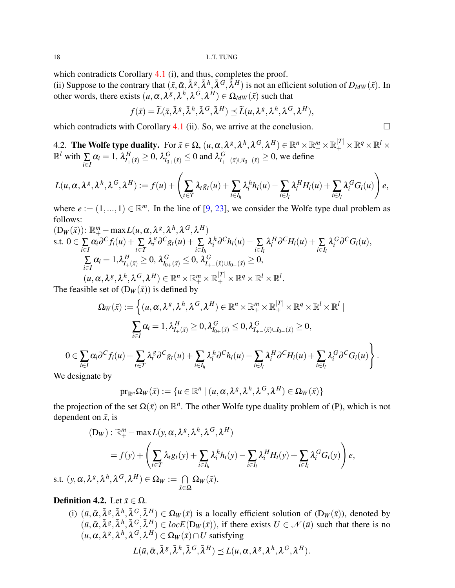which contradicts Corollary [4.1](#page-16-0) (i), and thus, completes the proof.

(ii) Suppose to the contrary that  $(\bar{x}, \bar{\alpha}, \bar{\lambda}^g, \bar{\lambda}^h, \bar{\lambda}^G, \bar{\lambda}^H)$  is not an efficient solution of  $D_{MW}(\bar{x})$ . In other words, there exists  $(u, \alpha, \lambda^g, \lambda^h, \lambda^G, \lambda^H) \in \Omega_{MW}(\bar{x})$  such that

$$
f(\bar{x}) = \widetilde{L}(\bar{x}, \bar{\lambda}^g, \bar{\lambda}^h, \bar{\lambda}^G, \bar{\lambda}^H) \preceq \widetilde{L}(u, \lambda^g, \lambda^h, \lambda^G, \lambda^H),
$$

which contradicts with Corollary [4.1](#page-16-0) (ii). So, we arrive at the conclusion.  $\square$ 

4.2. The Wolfe type duality. For  $\bar{x}\in\Omega,$   $(u,\alpha,\lambda^g,\lambda^h,\lambda^G,\lambda^H)\in\mathbb{R}^n\times\mathbb{R}^m_+\times\mathbb{R}^{|T|}_+\times\mathbb{R}^q\times\mathbb{R}^l\times$  $\mathbb{R}^l$  with  $\sum_{i \in I}$  $\alpha_i = 1$ ,  $\lambda_{I_+(\bar{x})}^H \ge 0$ ,  $\lambda_{I_{0+}(\bar{x})}^G \le 0$  and  $\lambda_{I_{+-}(\bar{x})\cup I_{0-}(\bar{x})}^G \ge 0$ , we define

$$
L(u,\alpha,\lambda^g,\lambda^h,\lambda^G,\lambda^H):=f(u)+\left(\sum_{t\in T}\lambda_t g_t(u)+\sum_{i\in I_h}\lambda_i^h h_i(u)-\sum_{i\in I_l}\lambda_i^H H_i(u)+\sum_{i\in I_l}\lambda_i^G G_i(u)\right)e,
$$

where  $e := (1, ..., 1) \in \mathbb{R}^m$ . In the line of [\[9,](#page-25-2) [23\]](#page-25-16), we consider the Wolfe type dual problem as follows:

$$
\begin{aligned} \n(\mathbf{D}_{W}(\bar{x})) &\colon \mathbb{R}_{+}^{m} - \max L(u, \alpha, \lambda^{g}, \lambda^{h}, \lambda^{G}, \lambda^{H}) \\ \n\text{s.t. } & 0 \in \sum_{i \in I} \alpha_{i} \partial^{C} f_{i}(u) + \sum_{t \in T} \lambda_{i}^{g} \partial^{C} g_{t}(u) + \sum_{i \in I_{h}} \lambda_{i}^{h} \partial^{C} h_{i}(u) - \sum_{i \in I_{l}} \lambda_{i}^{H} \partial^{C} H_{i}(u) + \sum_{i \in I_{l}} \lambda_{i}^{G} \partial^{C} G_{i}(u), \\ \n\sum_{i \in I} \alpha_{i} &= 1, \lambda_{I_{+}(\bar{x})}^{H} \geq 0, \lambda_{I_{0+}(\bar{x})}^{G} \leq 0, \lambda_{I_{+-}(\bar{x}) \cup I_{0-}(\bar{x})}^{G} \geq 0, \\ \n(u, \alpha, \lambda^{g}, \lambda^{h}, \lambda^{G}, \lambda^{H}) &\in \mathbb{R}^{n} \times \mathbb{R}_{+}^{m} \times \mathbb{R}_{+}^{|T|} \times \mathbb{R}^{q} \times \mathbb{R}^{l} \times \mathbb{R}^{l}. \n\end{aligned}
$$

The feasible set of  $(D_W(\bar{x}))$  is defined by

$$
\Omega_W(\bar{x}) := \left\{ (u, \alpha, \lambda^g, \lambda^h, \lambda^G, \lambda^H) \in \mathbb{R}^n \times \mathbb{R}_+^{m} \times \mathbb{R}_+^{|T|} \times \mathbb{R}^q \times \mathbb{R}^l \times \mathbb{R}^l \mid \right.
$$
  

$$
\sum_{i \in I} \alpha_i = 1, \lambda_{I_+(\bar{x})}^H \ge 0, \lambda_{I_{0+}(\bar{x})}^G \le 0, \lambda_{I_{+-}(\bar{x}) \cup I_{0-}(\bar{x})}^G \ge 0,
$$
  

$$
0 \in \sum_{i \in I} \alpha_i \partial^C f_i(u) + \sum_{t \in T} \lambda_t^g \partial^C g_t(u) + \sum_{i \in I_h} \lambda_i^h \partial^C h_i(u) - \sum_{i \in I_l} \lambda_i^H \partial^C H_i(u) + \sum_{i \in I_l} \lambda_i^G \partial^C G_i(u) \right\}
$$

.

We designate by

$$
\mathrm{pr}_{\mathbb{R}^n}\Omega_W(\bar{x}):=\{u\in\mathbb{R}^n\mid (u,\alpha,\lambda^g,\lambda^h,\lambda^G,\lambda^H)\in\Omega_W(\bar{x})\}
$$

the projection of the set  $\Omega(\bar{x})$  on  $\mathbb{R}^n$ . The other Wolfe type duality problem of (P), which is not dependent on  $\bar{x}$ , is

$$
(D_W) : \mathbb{R}_+^m - \max L(y, \alpha, \lambda^g, \lambda^h, \lambda^G, \lambda^H)
$$
  
=  $f(y) + \left(\sum_{t \in T} \lambda_t g_t(y) + \sum_{i \in I_h} \lambda_i^h h_i(y) - \sum_{i \in I_l} \lambda_i^H H_i(y) + \sum_{i \in I_l} \lambda_i^G G_i(y)\right) e$ ,

s.t.  $(y, \alpha, \lambda^g, \lambda^h, \lambda^G, \lambda^H) \in \Omega_W := \bigcap$ *x*¯∈Ω  $\Omega_W(\bar{x}).$ 

# **Definition 4.2.** Let  $\bar{x} \in \Omega$ .

(i)  $(\bar{u}, \bar{\alpha}, \bar{\lambda}^g, \bar{\lambda}^h, \bar{\lambda}^G, \bar{\lambda}^H) \in \Omega_W(\bar{x})$  is a locally efficient solution of  $(D_W(\bar{x}))$ , denoted by  $(\bar{u}, \bar{\alpha}, \bar{\lambda}^g, \bar{\lambda}^h, \bar{\lambda}^G, \bar{\lambda}^H) \in locE(D_W(\bar{x}))$ , if there exists  $U \in \mathcal{N}(\bar{u})$  such that there is no  $(u, \alpha, \lambda^g, \lambda^h, \lambda^G, \lambda^H) \in \Omega_W(\bar{x}) \cap U$  satisfying

$$
L(\bar{u}, \bar{\alpha}, \bar{\lambda}^g, \bar{\lambda}^h, \bar{\lambda}^G, \bar{\lambda}^H) \preceq L(u, \alpha, \lambda^g, \lambda^h, \lambda^G, \lambda^H).
$$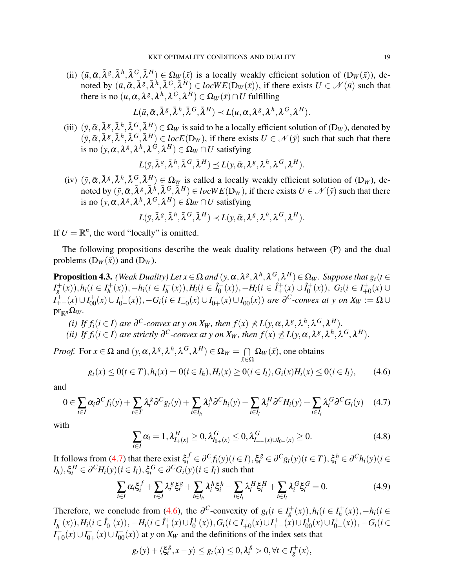(ii)  $(\bar{u}, \bar{\alpha}, \bar{\lambda}^g, \bar{\lambda}^h, \bar{\lambda}^G, \bar{\lambda}^H) \in \Omega_W(\bar{x})$  is a locally weakly efficient solution of  $(D_W(\bar{x}))$ , denoted by  $(\bar{u}, \bar{\alpha}, \bar{\lambda}^g, \bar{\lambda}^h, \bar{\lambda}^G, \bar{\lambda}^H) \in locWE(D_W(\bar{x}))$ , if there exists  $U \in \mathcal{N}(\bar{u})$  such that there is no  $(u, \alpha, \lambda^g, \lambda^h, \lambda^G, \lambda^H) \in \Omega_W(\bar x) \cap U$  fulfilling

$$
L(\bar{u}, \bar{\alpha}, \bar{\lambda}^g, \bar{\lambda}^h, \bar{\lambda}^G, \bar{\lambda}^H) \prec L(u, \alpha, \lambda^g, \lambda^h, \lambda^G, \lambda^H).
$$

(iii)  $(\bar{y}, \bar{\alpha}, \bar{\lambda}^g, \bar{\lambda}^h, \bar{\lambda}^G, \bar{\lambda}^H) \in \Omega_W$  is said to be a locally efficient solution of  $(D_W)$ , denoted by  $(\bar{y}, \bar{\alpha}, \bar{\lambda}^g, \bar{\lambda}^h, \bar{\lambda}^G, \bar{\lambda}^H) \in locE(D_W)$ , if there exists  $U \in \mathcal{N}(\bar{y})$  such that such that there is no  $(y, \alpha, \lambda^g, \lambda^h, \lambda^G, \lambda^H) \in \Omega_W \cap U$  satisfying

$$
L(\bar{y},\bar{\lambda}^g,\bar{\lambda}^h,\bar{\lambda}^G,\bar{\lambda}^H) \preceq L(y,\bar{\alpha},\lambda^g,\lambda^h,\lambda^G,\lambda^H).
$$

(iv)  $(\bar{y}, \bar{\alpha}, \bar{\lambda}^g, \bar{\lambda}^h, \bar{\lambda}^G, \bar{\lambda}^H) \in \Omega_W$  is called a locally weakly efficient solution of  $(D_W)$ , denoted by  $(\bar{y}, \bar{\alpha}, \bar{\lambda}^g, \bar{\lambda}^h, \bar{\lambda}^G, \bar{\lambda}^H) \in locWE(D_W)$ , if there exists  $U \in \mathcal{N}(\bar{y})$  such that there is no  $(y, \alpha, \lambda^g, \lambda^h, \lambda^G, \lambda^H) \in \Omega_W \cap U$  satisfying

$$
L(\bar{y},\bar{\lambda}^g,\bar{\lambda}^h,\bar{\lambda}^G,\bar{\lambda}^H) \prec L(y,\bar{\alpha},\lambda^g,\lambda^h,\lambda^G,\lambda^H).
$$

If  $U = \mathbb{R}^n$ , the word "locally" is omitted.

The following propositions describe the weak duality relations between (P) and the dual problems  $(D_W(\bar{x}))$  and  $(D_W)$ .

**Proposition 4.3.** *(Weak Duality) Let*  $x \in \Omega$  *and*  $(y, \alpha, \lambda^g, \lambda^h, \lambda^G, \lambda^H) \in \Omega_W$ . Suppose that  $g_t(t \in$  $I_g^+(x)$ ,  $h_i$  ( $i \in I_h^+$  $h_1^+(x)$ ),−*h<sub>i</sub>*( $i \in I_h^ H_h^{-}(x)$ ,  $H_i$ ( $i \in \hat{I}_0^{-}$  $\hat{I}_0^{\text{-}}(x)$ ),  $-H_i(i \in \hat{I}_+^+(x) \cup \hat{I}_0^+$  $G_i^+(x)$ ),  $G_i$ ( $i \in I^+_{+i}$  $^{+}_{+0}(x)$ ∪  $I_{+-}^+(x) \cup I_{00}^+(x) \cup I_{0-}^+$  $G_0^+(x)$ , −*G*<sup>*i*</sup>( $i \in I^-_{+0}$  $I_{+0}^{-}(x) \cup I_{0+}^{-}$  $\overline{O_{0+}}(x) \cup I_{00}^{-}(x)$  *are*  $\partial^C$ -convex at y on  $X_W := \Omega \cup$  $pr_{\mathbb{R}^n}\Omega_W$ .

- *(i) If*  $f_i$  *(i*  $\in$  *I*) *are*  $\partial^C$ *-convex at y on X<sub><i>W*</sub>, then  $f(x) \nless L(y, \alpha, \lambda^g, \lambda^h, \lambda^G, \lambda^H)$ .
- *(ii) If*  $f_i$ ( $i \in I$ ) are strictly  $\partial^C$ -convex at y on  $X_W$ , then  $f(x) \npreceq L(y, \alpha, \lambda^g, \lambda^h, \lambda^G, \lambda^H)$ .

*Proof.* For  $x \in \Omega$  and  $(y, \alpha, \lambda^g, \lambda^h, \lambda^G, \lambda^H) \in \Omega_W = \bigcap$ *x*¯∈Ω  $\Omega_W(\bar{x})$ , one obtains

<span id="page-18-1"></span>
$$
g_t(x) \le 0(t \in T), h_i(x) = 0(i \in I_h), H_i(x) \ge 0(i \in I_l), G_i(x)H_i(x) \le 0(i \in I_l), \quad (4.6)
$$

and

<span id="page-18-0"></span>
$$
0 \in \sum_{i \in I} \alpha_i \partial^C f_i(y) + \sum_{t \in T} \lambda_t^{\beta} \partial^C g_t(y) + \sum_{i \in I_h} \lambda_i^h \partial^C h_i(y) - \sum_{i \in I_l} \lambda_i^H \partial^C H_i(y) + \sum_{i \in I_l} \lambda_i^G \partial^C G_i(y) \tag{4.7}
$$

with

<span id="page-18-3"></span>
$$
\sum_{i \in I} \alpha_i = 1, \lambda_{I_+(x)}^H \ge 0, \lambda_{I_{0+}(x)}^G \le 0, \lambda_{I_{+-}(x) \cup I_{0-}(x)}^G \ge 0.
$$
\n(4.8)

It follows from [\(4.7\)](#page-18-0) that there exist  $\xi_i^f \in \partial^C f_i(y)$   $(i \in I)$ ,  $\xi_i^g \in \partial^C g_i(y)$   $(i \in T)$ ,  $\xi_i^h \in \partial^C h_i(y)$   $(i \in T)$  $I_h$ ), $\xi_i^H \in \partial^C H_i(y)$  ( $i \in I_l$ ),  $\xi_i^G \in \partial^C G_i(y)$  ( $i \in I_l$ ) such that

<span id="page-18-2"></span>
$$
\sum_{i\in I} \alpha_i \xi_i^f + \sum_{t\in J} \lambda_i^g \xi_t^g + \sum_{i\in I_h} \lambda_i^h \xi_i^h - \sum_{i\in I_l} \lambda_i^H \xi_i^H + \sum_{i\in I_l} \lambda_i^G \xi_i^G = 0.
$$
\n(4.9)

Therefore, we conclude from [\(4.6\)](#page-18-1), the  $\partial^C$ -convexity of  $g_t(t \in I_g^+(x))$ ,  $h_i(t \in I_h^+(x))$ *h* (*x*)),−*hi*(*i* ∈  $I_h^ H_h^{-}(x)$ ,  $H_i$  ( $i \in \hat{I}_0^{-}$  $\hat{I}_0^-(x)$ ),  $-H_i(i \in \hat{I}_+^+(x) \cup \hat{I}_0^+$  $G_0^+(x)$ ,  $G_i$  ( $i \in I_{+0}^+$  $I_{+0}^{+}(x) \cup I_{+-}^{+}(x) \cup I_{00}^{+}(x) \cup I_{0-}^{+}$  $C_0^+(x)$ , −*G*<sup>*i*</sup>( $i \in$ *I* −  $\frac{x^2}{x+0}(x) \cup I_{0-}^ \overline{O_{0+}}(x) \cup I_{00}^{-}(x)$  at *y* on  $X_W$  and the definitions of the index sets that

$$
g_t(y) + \langle \xi_t^g, x - y \rangle \le g_t(x) \le 0, \lambda_t^g > 0, \forall t \in I_g^+(x),
$$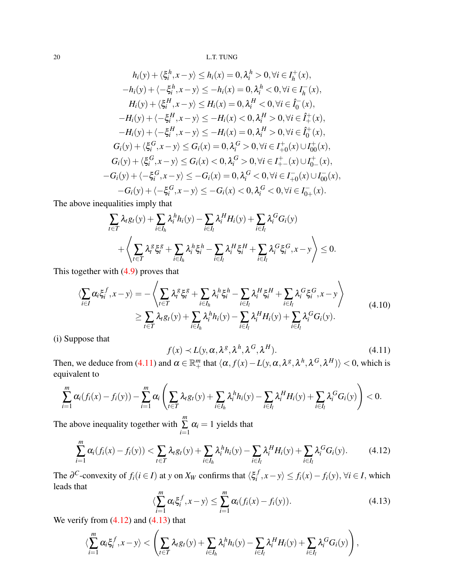$$
h_i(y) + \langle \xi_i^h, x - y \rangle \le h_i(x) = 0, \lambda_i^h > 0, \forall i \in I_h^+(x),
$$
  
\n
$$
-h_i(y) + \langle -\xi_i^h, x - y \rangle \le -h_i(x) = 0, \lambda_i^h < 0, \forall i \in I_h^-(x),
$$
  
\n
$$
H_i(y) + \langle \xi_i^H, x - y \rangle \le H_i(x) = 0, \lambda_i^H < 0, \forall i \in \hat{I}_0^-(x),
$$
  
\n
$$
-H_i(y) + \langle -\xi_i^H, x - y \rangle \le -H_i(x) < 0, \lambda_i^H > 0, \forall i \in \hat{I}_+^+(x),
$$
  
\n
$$
-H_i(y) + \langle -\xi_i^H, x - y \rangle \le -H_i(x) = 0, \lambda_i^H > 0, \forall i \in \hat{I}_0^+(x),
$$
  
\n
$$
G_i(y) + \langle \xi_i^G, x - y \rangle \le G_i(x) = 0, \lambda_i^G > 0, \forall i \in I_{+0}^+(x) \cup I_{00}^+(x),
$$
  
\n
$$
G_i(y) + \langle \xi_i^G, x - y \rangle \le G_i(x) < 0, \lambda_i^G > 0, \forall i \in I_{+-}^+(x) \cup I_0^+(x),
$$
  
\n
$$
-G_i(y) + \langle -\xi_i^G, x - y \rangle \le -G_i(x) = 0, \lambda_i^G < 0, \forall i \in I_{+0}^-(x) \cup I_{00}^-(x),
$$
  
\n
$$
-G_i(y) + \langle -\xi_i^G, x - y \rangle \le -G_i(x) < 0, \lambda_i^G < 0, \forall i \in I_{0+}^-(x).
$$

The above inequalities imply that

$$
\sum_{t \in T} \lambda_t g_t(y) + \sum_{i \in I_h} \lambda_i^h h_i(y) - \sum_{i \in I_l} \lambda_i^H H_i(y) + \sum_{i \in I_l} \lambda_i^G G_i(y) + \left\langle \sum_{t \in T} \lambda_i^g \xi_i^g + \sum_{i \in I_h} \lambda_i^h \xi_i^h - \sum_{i \in I_l} \lambda_i^H \xi_i^H + \sum_{i \in I_l} \lambda_i^G \xi_i^G, x - y \right\rangle \leq 0.
$$

This together with [\(4.9\)](#page-18-2) proves that

<span id="page-19-3"></span>
$$
\langle \sum_{i \in I} \alpha_i \xi_i^f, x - y \rangle = - \langle \sum_{t \in T} \lambda_i^g \xi_i^g + \sum_{i \in I_h} \lambda_i^h \xi_i^h - \sum_{i \in I_l} \lambda_i^H \xi_i^H + \sum_{i \in I_l} \lambda_i^G \xi_i^G, x - y \rangle
$$
\n
$$
\geq \sum_{t \in T} \lambda_t g_t(y) + \sum_{i \in I_h} \lambda_i^h h_i(y) - \sum_{i \in I_l} \lambda_i^H H_i(y) + \sum_{i \in I_l} \lambda_i^G G_i(y).
$$
\n(4.10)

(i) Suppose that

<span id="page-19-0"></span>
$$
f(x) \prec L(y, \alpha, \lambda^g, \lambda^h, \lambda^G, \lambda^H). \tag{4.11}
$$

Then, we deduce from [\(4.11\)](#page-19-0) and  $\alpha \in \mathbb{R}^m_+$  that  $\langle \alpha, f(x) - L(y, \alpha, \lambda^g, \lambda^h, \lambda^G, \lambda^H) \rangle < 0$ , which is equivalent to

$$
\sum_{i=1}^m \alpha_i (f_i(x) - f_i(y)) - \sum_{i=1}^m \alpha_i \left( \sum_{t \in T} \lambda_t g_t(y) + \sum_{i \in I_h} \lambda_i^h h_i(y) - \sum_{i \in I_l} \lambda_i^H H_i(y) + \sum_{i \in I_l} \lambda_i^G G_i(y) \right) < 0.
$$

The above inequality together with *m*  $\sum_{i=1}$  $\alpha_i = 1$  yields that

<span id="page-19-1"></span>
$$
\sum_{i=1}^{m} \alpha_i (f_i(x) - f_i(y)) < \sum_{t \in T} \lambda_t g_t(y) + \sum_{i \in I_h} \lambda_i^h h_i(y) - \sum_{i \in I_l} \lambda_i^H H_i(y) + \sum_{i \in I_l} \lambda_i^G G_i(y). \tag{4.12}
$$

The  $\partial^C$ -convexity of  $f_i (i \in I)$  at *y* on  $X_W$  confirms that  $\langle \xi_i^f \rangle$  $\langle f, x-y \rangle$  ≤  $f_i(x) - f_i(y)$ , ∀*i* ∈ *I*, which leads that

<span id="page-19-2"></span>
$$
\langle \sum_{i=1}^{m} \alpha_i \xi_i^f, x - y \rangle \leq \sum_{i=1}^{m} \alpha_i (f_i(x) - f_i(y)). \tag{4.13}
$$

We verify from  $(4.12)$  and  $(4.13)$  that

$$
\langle \sum_{i=1}^m \alpha_i \xi_i^f, x - y \rangle < \left( \sum_{t \in T} \lambda_t g_t(y) + \sum_{i \in I_h} \lambda_i^h h_i(y) - \sum_{i \in I_l} \lambda_i^H H_i(y) + \sum_{i \in I_l} \lambda_i^G G_i(y) \right),
$$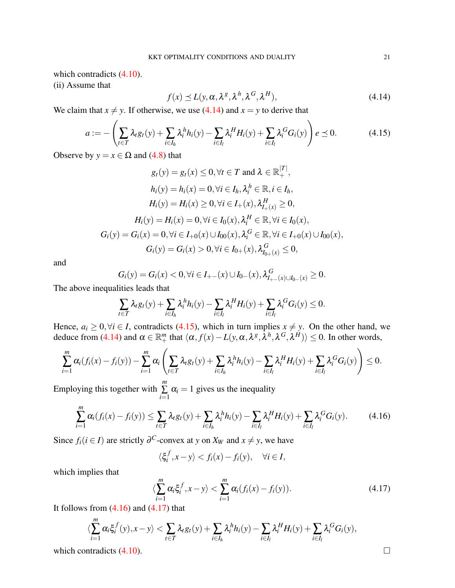which contradicts  $(4.10)$ .

(ii) Assume that

<span id="page-20-0"></span>
$$
f(x) \le L(y, \alpha, \lambda^g, \lambda^h, \lambda^G, \lambda^H),
$$
\n(4.14)

We claim that  $x \neq y$ . If otherwise, we use [\(4.14\)](#page-20-0) and  $x = y$  to derive that

<span id="page-20-1"></span>
$$
a := -\left(\sum_{t \in T} \lambda_t g_t(y) + \sum_{i \in I_h} \lambda_i^h h_i(y) - \sum_{i \in I_l} \lambda_i^H H_i(y) + \sum_{i \in I_l} \lambda_i^G G_i(y)\right) e \preceq 0. \tag{4.15}
$$

Observe by  $y = x \in \Omega$  and [\(4.8\)](#page-18-3) that

$$
g_t(y) = g_t(x) \le 0, \forall t \in T \text{ and } \lambda \in \mathbb{R}_+^{|T|},
$$
  
\n
$$
h_i(y) = h_i(x) = 0, \forall i \in I_h, \lambda_i^h \in \mathbb{R}, i \in I_h,
$$
  
\n
$$
H_i(y) = H_i(x) \ge 0, \forall i \in I_+(x), \lambda_{I_+(x)}^H \ge 0,
$$
  
\n
$$
H_i(y) = H_i(x) = 0, \forall i \in I_0(x), \lambda_i^H \in \mathbb{R}, \forall i \in I_0(x),
$$
  
\n
$$
G_i(y) = G_i(x) = 0, \forall i \in I_{+0}(x) \cup I_{00}(x), \lambda_i^G \in \mathbb{R}, \forall i \in I_{+0}(x) \cup I_{00}(x),
$$
  
\n
$$
G_i(y) = G_i(x) > 0, \forall i \in I_{0+}(x), \lambda_{I_{0+}(x)}^G \le 0,
$$

and

$$
G_i(y) = G_i(x) < 0, \forall i \in I_{+-}(x) \cup I_{0-}(x), \lambda_{I_{+-}(x) \cup I_{0-}(x)}^G \ge 0.
$$

The above inequalities leads that

$$
\sum_{t \in T} \lambda_t g_t(y) + \sum_{i \in I_h} \lambda_i^h h_i(y) - \sum_{i \in I_l} \lambda_i^H H_i(y) + \sum_{i \in I_l} \lambda_i^G G_i(y) \le 0.
$$

Hence,  $a_i \geq 0, \forall i \in I$ , contradicts [\(4.15\)](#page-20-1), which in turn implies  $x \neq y$ . On the other hand, we deduce from [\(4.14\)](#page-20-0) and  $\alpha \in \mathbb{R}^m_+$  that  $\langle \alpha, f(x) - L(y, \alpha, \lambda^g, \lambda^h, \lambda^G, \lambda^H) \rangle \leq 0$ . In other words,

$$
\sum_{i=1}^m \alpha_i (f_i(x) - f_i(y)) - \sum_{i=1}^m \alpha_i \left( \sum_{t \in T} \lambda_t g_t(y) + \sum_{i \in I_h} \lambda_i^h h_i(y) - \sum_{i \in I_l} \lambda_i^H H_i(y) + \sum_{i \in I_l} \lambda_i^G G_i(y) \right) \leq 0.
$$

Employing this together with ∑ *i*=1  $\alpha_i = 1$  gives us the inequality

<span id="page-20-2"></span>
$$
\sum_{i=1}^{m} \alpha_i (f_i(x) - f_i(y)) \leq \sum_{t \in T} \lambda_t g_t(y) + \sum_{i \in I_h} \lambda_i^h h_i(y) - \sum_{i \in I_l} \lambda_i^H H_i(y) + \sum_{i \in I_l} \lambda_i^G G_i(y).
$$
 (4.16)

Since  $f_i(i \in I)$  are strictly  $\partial^C$ -convex at *y* on  $X_W$  and  $x \neq y$ , we have

$$
\langle \xi_i^f, x - y \rangle < f_i(x) - f_i(y), \quad \forall i \in I,
$$

which implies that

<span id="page-20-3"></span>
$$
\langle \sum_{i=1}^{m} \alpha_i \xi_i^f, x - y \rangle < \sum_{i=1}^{m} \alpha_i (f_i(x) - f_i(y)). \tag{4.17}
$$

It follows from  $(4.16)$  and  $(4.17)$  that

$$
\langle \sum_{i=1}^m \alpha_i \xi_i^f(y), x - y \rangle < \sum_{t \in T} \lambda_t g_t(y) + \sum_{i \in I_h} \lambda_i^h h_i(y) - \sum_{i \in I_l} \lambda_i^H H_i(y) + \sum_{i \in I_l} \lambda_i^G G_i(y),
$$

which contradicts  $(4.10)$ .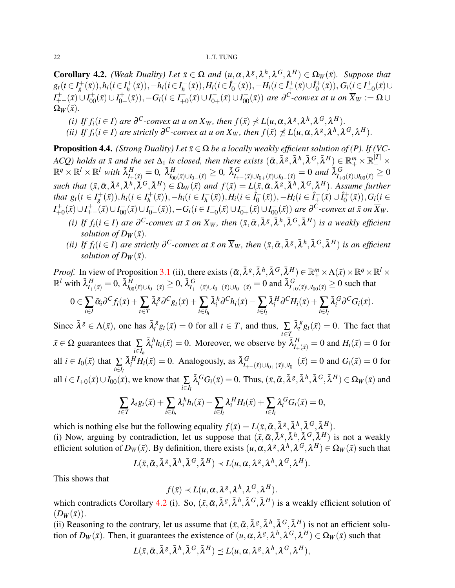<span id="page-21-0"></span>**Corollary 4.2.** *(Weak Duality) Let*  $\bar{x} \in \Omega$  *and*  $(u, \alpha, \lambda^g, \lambda^h, \lambda^G, \lambda^H) \in \Omega_W(\bar{x})$ *. Suppose that*  $g_t(t \in I_g^+(\bar{x})), h_i(t \in I_h^+)$  $h_1^+(\bar{x})$ ),  $-h_i$ ( $i \in I_h^ H_h^{-}(\bar{x}), H_i (i \in \hat{I}_0^{-})$  $\hat{O}_0^{\leftarrow}(\bar{x})$ ),  $-H_i(i \in \hat{I}_+^+(\bar{x}) \cup \hat{I}_0^+$  $G_0^{\text{+}}(\bar{x}), G_i (i \in I^+_{+0})$  $_{+0}^{+}(\bar{x})$ ∪ *I*<sup>+</sup><sub>+−</sub>( $\bar{x}$ ) ∪ *I*<sub>0</sub><sup>+</sup><sub>0</sub>−</sup>  $C_{0-}^{+}(\bar{x})), -G_i(i \in I_{+}^{-})$  $\bar{t}_{+0}(\bar{x}) \cup I_{0-}^{-}$  $J_{0+}(\bar{x}) \cup I_{00}(\bar{x})$ ) are  $\partial^C$ -convex at u on  $\overline{X}_W := \Omega \cup$  $\Omega_W(\bar{x})$ .

- *(i) If*  $f_i$  *(i*  $\in$  *I*) *are*  $\partial^C$ *-convex at u on*  $\overline{X}_W$ *, then*  $f(\bar{x}) \nless L(u, \alpha, \lambda^g, \lambda^h, \lambda^G, \lambda^H)$ .
- *(ii) If*  $f_i$  *(i*  $\in$  *I*) *are strictly*  $\partial^C$ -convex at *u* on  $\overline{X}_W$ , then  $f(\overline{x}) \nleq L(u, \alpha, \lambda^g, \lambda^h, \lambda^G, \lambda^H)$ .

<span id="page-21-1"></span>**Proposition 4.4.** *(Strong Duality) Let*  $\bar{x} \in \Omega$  *be a locally weakly efficient solution of (P). If (VC-* $ACQ$ ) holds at  $\bar{x}$  and the set  $\Delta_1$  is closed, then there exists  $(\bar{\alpha},\bar{\lambda}^g,\bar{\lambda}^h,\bar{\lambda}^G,\bar{\lambda}^H)\in \mathbb{R}^m_+\times \mathbb{R}^{|T|}_+\times$  $\mathbb{R}^q\times\mathbb{R}^l\times\mathbb{R}^l$  with  $\bar{\lambda}_{I_{+}(\bar{x})}^H=0$ ,  $\bar{\lambda}_{I_{00}(\bar{x})\cup I_{0-}(\bar{x})}^H\geq 0$ ,  $\bar{\lambda}_{I_{+-}(\bar{x})\cup I_{0+}(\bar{x})\cup I_{0-}(\bar{x})}^G=0$  and  $\bar{\lambda}_{I_{+0}(\bar{x})\cup I_{00}(\bar{x})}^G\geq 0$ such that  $(\bar{x}, \bar{\alpha}, \bar{\lambda}^g, \bar{\lambda}^h, \bar{\lambda}^G, \bar{\lambda}^H) \in \Omega_W(\bar{x})$  and  $f(\bar{x}) = L(\bar{x}, \bar{\alpha}, \bar{\lambda}^g, \bar{\lambda}^h, \bar{\lambda}^G, \bar{\lambda}^H)$ . Assume further *that*  $g_t(t \in I_g^+(\bar{x})), h_i(t \in I_h^+)$  $h^+(x)$ ),−*h*<sub>*i*</sub>( $i \in I_h^ H_h^{-}(\bar{x})), H_i (i \in \hat{I}_0^{-}$  $\hat{I}_0^{\text{-}}(\bar{x}), -H_i (i \in \hat{I}_+^+(\bar{x}) \cup \hat{I}_0^+)$  $G_0^+(\bar{x}), G_i (i \in$  $I_{+}^{+}$  $I_{+0}^{+}(\bar{x}) \cup I_{+-}^{+}(\bar{x}) \cup I_{00}^{+}(\bar{x}) \cup I_{0-}^{+}$  $C_{0-}^{+}(\bar{x}), -G_i$ ( $i \in I_{+}^{-}$  $I_{+0}^{-}(\bar{x})\cup I_{0-}^{-}$  $\overline{J_{0+}}(\bar{x}) \cup I_{00}^{-}(\bar{x})$  are  $\partial^{C}$ -convex at  $\bar{x}$  on  $\overline{X}_{W}$ .

- (i) If  $f_i(i \in I)$  are  $\partial^C$ -convex at  $\bar{x}$  on  $\overline{X}_W$ , then  $(\bar{x}, \bar{\alpha}, \bar{\lambda}^g, \bar{\lambda}^h, \bar{\lambda}^G, \bar{\lambda}^H)$  is a weakly efficient *solution of D<sub><i>W*</sub> $(\bar{x})$ .
- (ii) If  $f_i(i \in I)$  are strictly  $\partial^C$ -convex at  $\bar{x}$  on  $\overline{X}_W$ , then  $(\bar{x}, \bar{\alpha}, \bar{\lambda}^g, \bar{\lambda}^h, \bar{\lambda}^G, \bar{\lambda}^H)$  is an efficient *solution of D<sub><i>W*</sub> $(\bar{x})$ .

*Proof.* In view of Proposition [3.1](#page-7-0) (ii), there exists  $(\bar{\alpha}, \bar{\lambda}^g, \bar{\lambda}^h, \bar{\lambda}^G, \bar{\lambda}^H) \in \mathbb{R}_+^m \times \Lambda(\bar{x}) \times \mathbb{R}^q \times \mathbb{R}^l \times$  $\mathbb{R}^l$  with  $\bar{\lambda}_{I_{+}(\bar{x})}^H=0$ ,  $\bar{\lambda}_{I_{00}(\bar{x})\cup I_{0-}(\bar{x})}^H\geq 0$ ,  $\bar{\lambda}_{I_{+-}(\bar{x})\cup I_{0+}(\bar{x})\cup I_{0-}(\bar{x})}^G=0$  and  $\bar{\lambda}_{I_{+0}(\bar{x})\cup I_{00}(\bar{x})}^G\geq 0$  such that  $0 \in \sum_{i \in I}$  $\bar{\alpha}_i \partial^C f_i(\bar{x}) + \sum_{t \in T}$  $\bar{\lambda}_t^{\mathcal{S}} \partial^C g_t(\bar{x}) + \sum_i \bar{\lambda}_i^h \partial^C h_i(\bar{x}) - \sum_i \bar{\lambda}_i^H \partial^C H_i(\bar{x}) + \sum_i \bar{\lambda}_i^G \partial^C G_i(\bar{x}).$  $i \in I_l$  *i*∈*Il* 

Since  $\bar{\lambda}^g \in \Lambda(\bar{x})$ , one has  $\bar{\lambda}_t^g g_t(\bar{x}) = 0$  for all  $t \in T$ , and thus,  $\sum_{t \in T}$  $\bar{\lambda}_t^g g_t(\bar{x}) = 0$ . The fact that  $\bar{x} \in \Omega$  guarantees that  $\sum$ *i*∈*I<sup>h</sup>*  $\bar{\lambda}_i^h h_i(\bar{x}) = 0$ . Moreover, we observe by  $\bar{\lambda}_{I_+(\bar{x})}^H = 0$  and  $H_i(\bar{x}) = 0$  for all  $i \in I_0(\bar{x})$  that  $\sum_i$ *i*∈*I<sup>l</sup>*  $\bar{\lambda}_i^H H_i(\bar{x}) = 0$ . Analogously, as  $\bar{\lambda}_{I_+}^G$ *I*<sub>I</sub>+−(*x*̄)∪*I*<sub>0+</sub>(*x̄*)∪*I*<sub>0−</sub></sub>(*x̄*) = 0 and *G*<sub>*i*</sub>(*x̄*) = 0 for all  $i \in I_{+0}(\bar{x}) \cup I_{00}(\bar{x})$ , we know that  $\sum$ *i*∈*I<sup>l</sup>*  $\bar{\lambda}_i^G G_i(\bar{x}) = 0$ . Thus,  $(\bar{x}, \bar{\alpha}, \bar{\lambda}^g, \bar{\lambda}^h, \bar{\lambda}^G, \bar{\lambda}^H) \in \Omega_W(\bar{x})$  and *h H G*

$$
\sum_{t \in T} \lambda_t g_t(\bar{x}) + \sum_{i \in I_h} \lambda_i^h h_i(\bar{x}) - \sum_{i \in I_l} \lambda_i^H H_i(\bar{x}) + \sum_{i \in I_l} \lambda_i^G G_i(\bar{x}) = 0,
$$

which is nothing else but the following equality  $f(\bar{x}) = L(\bar{x}, \bar{\alpha}, \bar{\lambda}^g, \bar{\lambda}^h, \bar{\lambda}^G, \bar{\lambda}^H)$ . (i) Now, arguing by contradiction, let us suppose that  $(\bar{x}, \bar{\alpha}, \bar{\lambda}^g, \bar{\lambda}^h, \bar{\lambda}^G, \bar{\lambda}^H)$  is not a weakly efficient solution of  $D_W(\bar{x})$ . By definition, there exists  $(u, \alpha, \lambda^g, \lambda^h, \lambda^G, \lambda^H) \in \Omega_W(\bar{x})$  such that

$$
L(\bar{x}, \bar{\alpha}, \bar{\lambda}^g, \bar{\lambda}^h, \bar{\lambda}^G, \bar{\lambda}^H) \prec L(u, \alpha, \lambda^g, \lambda^h, \lambda^G, \lambda^H).
$$

This shows that

$$
f(\bar{x}) \prec L(u,\alpha,\lambda^g,\lambda^h,\lambda^G,\lambda^H).
$$

which contradicts Corollary [4.2](#page-21-0) (i). So,  $(\bar{x}, \bar{\alpha}, \bar{\lambda}^g, \bar{\lambda}^h, \bar{\lambda}^G, \bar{\lambda}^H)$  is a weakly efficient solution of  $(D_W(\bar{x})).$ 

(ii) Reasoning to the contrary, let us assume that  $(\bar{x}, \bar{\alpha}, \bar{\lambda}^g, \bar{\lambda}^h, \bar{\lambda}^G, \bar{\lambda}^H)$  is not an efficient solution of  $D_W(\bar{x})$ . Then, it guarantees the existence of  $(u, \alpha, \lambda^g, \lambda^h, \lambda^G, \lambda^H) \in \Omega_W(\bar{x})$  such that

$$
L(\bar{x}, \bar{\alpha}, \bar{\lambda}^g, \bar{\lambda}^h, \bar{\lambda}^G, \bar{\lambda}^H) \preceq L(u, \alpha, \lambda^g, \lambda^h, \lambda^G, \lambda^H),
$$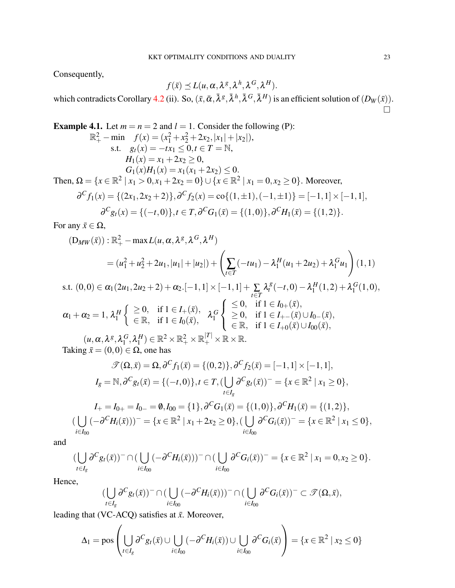Consequently,

$$
f(\bar{x}) \preceq L(u,\alpha,\lambda^g,\lambda^h,\lambda^G,\lambda^H).
$$

which contradicts Corollary [4.2](#page-21-0) (ii). So,  $(\bar{x}, \bar{\alpha}, \bar{\lambda}^g, \bar{\lambda}^h, \bar{\lambda}^G, \bar{\lambda}^H)$  is an efficient solution of  $(D_W(\bar{x}))$ .  $\Box$ 

**Example 4.1.** Let 
$$
m = n = 2
$$
 and  $l = 1$ . Consider the following (P):  
\n
$$
\mathbb{R}_{+}^{2} - \min f(x) = (x_{1}^{2} + x_{2}^{2} + 2x_{2}, |x_{1}| + |x_{2}|),
$$
\ns.t.  $g_{t}(x) = -tx_{1} \leq 0, t \in T = \mathbb{N},$   
\n $H_{1}(x) = x_{1} + 2x_{2} \geq 0,$   
\n $G_{1}(x)H_{1}(x) = x_{1}(x_{1} + 2x_{2}) \leq 0.$   
\nThen,  $\Omega = \{x \in \mathbb{R}^{2} | x_{1} > 0, x_{1} + 2x_{2} = 0\} \cup \{x \in \mathbb{R}^{2} | x_{1} = 0, x_{2} \geq 0\}.$  Moreover,  
\n $\partial^{C} f_{1}(x) = \{(2x_{1}, 2x_{2} + 2)\}, \partial^{C} f_{2}(x) = \text{co}\{(1, \pm 1), (-1, \pm 1)\} = [-1, 1] \times [-1, 1],$   
\n $\partial^{C} g_{t}(x) = \{(-t, 0)\}, t \in T, \partial^{C} G_{1}(\bar{x}) = \{(1, 0)\}, \partial^{C} H_{1}(\bar{x}) = \{(1, 2)\}.$ 

For any  $\bar{x} \in \Omega$ ,

$$
(D_{MW}(\bar{x})): \mathbb{R}^2_+ - \max L(u, \alpha, \lambda^g, \lambda^G, \lambda^H)
$$
  
=  $(u_1^2 + u_2^2 + 2u_1, |u_1| + |u_2|) + \left(\sum_{t \in T} (-tu_1) - \lambda_1^H(u_1 + 2u_2) + \lambda_1^G u_1\right)(1, 1)$   
+  $(0, 0) \in \mathbb{R}^2$  (2*u*, 2*u*, 1, 2) +  $\mathbb{R}^3$  [1, 1] +  $\sum_{t \in T} \lambda^g (-t, 0) = \lambda^H (1, 2) + \lambda^G (1, 0)$ 

s.t. 
$$
(0,0) \in \alpha_1(2u_1, 2u_2 + 2) + \alpha_2 \cdot [-1,1] \times [-1,1] + \sum_{t \in T} \lambda_t^g(-t,0) - \lambda_1^H(1,2) + \lambda_1^G(1,0),
$$
  
 $\alpha_1 + \alpha_2 = 1, \lambda_1^H \begin{cases} \geq 0, & \text{if } 1 \in I_+(\bar{x}), \\ \in \mathbb{R}, & \text{if } 1 \in I_0(\bar{x}), \end{cases} \lambda_1^G \begin{cases} \leq 0, & \text{if } 1 \in I_0_+(\bar{x}), \\ \geq 0, & \text{if } 1 \in I_+_-(\bar{x}) \cup I_0_-(\bar{x}), \\ \in \mathbb{R}, & \text{if } 1 \in I_+_0(\bar{x}) \cup I_{00}(\bar{x}), \end{cases}$ 

 $(u, \alpha, \lambda^g, \lambda_1^G)$  $^G_1, \lambda^H_1$  $L_1^H$ )  $\in \mathbb{R}^2 \times \mathbb{R}_+^2 \times \mathbb{R}_+^{|T|} \times \mathbb{R} \times \mathbb{R}$ . Taking  $\bar{x} = (0,0) \in \Omega$ , one has

$$
\mathcal{F}(\Omega,\bar{x}) = \Omega, \partial^C f_1(\bar{x}) = \{(0,2)\}, \partial^C f_2(\bar{x}) = [-1,1] \times [-1,1],
$$
  
\n
$$
I_g = \mathbb{N}, \partial^C g_t(\bar{x}) = \{(-t,0)\}, t \in T, (\bigcup_{t \in I_g} \partial^C g_t(\bar{x}))^- = \{x \in \mathbb{R}^2 \mid x_1 \ge 0\},
$$
  
\n
$$
I_+ = I_{0+} = I_{0-} = \emptyset, I_{00} = \{1\}, \partial^C G_1(\bar{x}) = \{(1,0)\}, \partial^C H_1(\bar{x}) = \{(1,2)\},
$$
  
\n
$$
(\bigcup_{i \in I_{00}} (-\partial^C H_i(\bar{x})))^- = \{x \in \mathbb{R}^2 \mid x_1 + 2x_2 \ge 0\}, (\bigcup_{i \in I_{00}} \partial^C G_i(\bar{x}))^- = \{x \in \mathbb{R}^2 \mid x_1 \le 0\},
$$

and

$$
(\bigcup_{t\in I_g} \partial^C g_t(\bar{x}))^-\cap (\bigcup_{i\in I_{00}} (-\partial^C H_i(\bar{x})))^-\cap (\bigcup_{i\in I_{00}} \partial^C G_i(\bar{x}))^-=\{x\in \mathbb{R}^2 \mid x_1=0, x_2\geq 0\}.
$$

Hence,

$$
\left(\bigcup_{t\in I_g} \partial^C g_t(\bar{x})\right)^-\cap \left(\bigcup_{i\in I_{00}} (-\partial^C H_i(\bar{x}))\right)^-\cap \left(\bigcup_{i\in I_{00}} \partial^C G_i(\bar{x})\right)^-\subset \mathscr{T}(\Omega, \bar{x}),
$$

leading that (VC-ACQ) satisfies at  $\bar{x}$ . Moreover,

$$
\Delta_1 = \text{pos}\left(\bigcup_{t \in I_g} \partial^C g_t(\bar{x}) \cup \bigcup_{i \in I_{00}} (-\partial^C H_i(\bar{x})) \cup \bigcup_{i \in I_{00}} \partial^C G_i(\bar{x})\right) = \{x \in \mathbb{R}^2 \mid x_2 \le 0\}
$$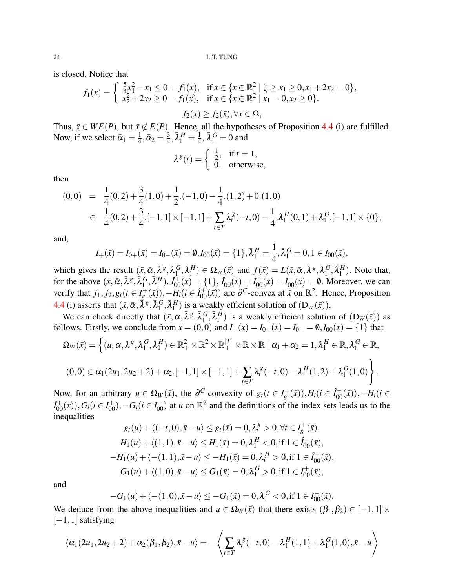is closed. Notice that

$$
f_1(x) = \begin{cases} \frac{5}{4}x_1^2 - x_1 \le 0 = f_1(\bar{x}), & \text{if } x \in \{x \in \mathbb{R}^2 \mid \frac{4}{5} \ge x_1 \ge 0, x_1 + 2x_2 = 0\}, \\ x_2^2 + 2x_2 \ge 0 = f_1(\bar{x}), & \text{if } x \in \{x \in \mathbb{R}^2 \mid x_1 = 0, x_2 \ge 0\}. \end{cases}
$$

$$
f_2(x) \ge f_2(\bar{x}), \forall x \in \Omega,
$$

Thus,  $\bar{x} \in WE(P)$ , but  $\bar{x} \notin E(P)$ . Hence, all the hypotheses of Proposition [4.4](#page-21-1) (i) are fulfilled. Now, if we select  $\bar{\alpha}_1 = \frac{1}{4}$  $\frac{1}{4}$ ,  $\bar{\alpha}_2 = \frac{3}{4}$  $\frac{3}{4}, \bar{\lambda}_1^H = \frac{1}{4}$  $\frac{1}{4}$ ,  $\bar{\lambda}_1^G = 0$  and

$$
\bar{\lambda}^g(t) = \begin{cases} \frac{1}{2}, & \text{if } t = 1, \\ 0, & \text{otherwise,} \end{cases}
$$

then

$$
(0,0) = \frac{1}{4}(0,2) + \frac{3}{4}(1,0) + \frac{1}{2} \cdot (-1,0) - \frac{1}{4} \cdot (1,2) + 0 \cdot (1,0)
$$
  

$$
\in \frac{1}{4}(0,2) + \frac{3}{4} \cdot [-1,1] \times [-1,1] + \sum_{t \in T} \lambda_t^g (-t,0) - \frac{1}{4} \cdot \lambda_1^H (0,1) + \lambda_1^G \cdot [-1,1] \times \{0\},
$$

and,

$$
I_{+}(\bar{x}) = I_{0+}(\bar{x}) = I_{0-}(\bar{x}) = \emptyset, I_{00}(\bar{x}) = \{1\}, \bar{\lambda}_{1}^{H} = \frac{1}{4}, \bar{\lambda}_{1}^{G} = 0, 1 \in I_{00}(\bar{x}),
$$

which gives the result  $(\bar{x}, \bar{\alpha}, \bar{\lambda}^g, \bar{\lambda}_1^g)$  $_1^G, \bar{\lambda}_1^H$  $I_1^H$ )  $\in \Omega_W(\bar{x})$  and  $f(\bar{x}) = L(\bar{x}, \bar{\alpha}, \bar{\lambda}^g, \bar{\lambda}_1^G)$  $_1^G, \bar{\lambda}_1^H$  $n_1^H$ ). Note that, for the above  $(\bar{x}, \bar{\alpha}, \bar{\lambda}^g, \bar{\lambda}_1^g)$  $_{1}^{G}, \bar{\lambda}_{1}^{H}$  $\hat{I}_1^H$ ,  $\hat{I}_{00}^+(\bar{x}) = \{1\}$ ,  $\hat{I}_{00}^-(\bar{x}) = I_{00}^+(\bar{x}) = I_{00}^-(\bar{x}) = \emptyset$ . Moreover, we can verify that  $f_1, f_2, g_t(t \in I_g^+(\bar{x}))$ ,  $-\tilde{H}_i(i \in \hat{I}_{00}^+(\bar{x}))$  are  $\partial^C$ -convex at  $\bar{x}$  on  $\mathbb{R}^2$ . Hence, Proposition [4.4](#page-21-1) (i) asserts that  $(\bar{x}, \bar{\alpha}, \bar{\lambda}^g, \bar{\lambda}_1^G)$  $_1^G, \bar{\lambda}_1^H$  $\binom{H}{1}$  is a weakly efficient solution of  $(D_W(\bar{x}))$ .

We can check directly that  $(\bar{x}, \bar{\alpha}, \bar{\lambda}^g, \bar{\lambda}_1^G)$  $\overline{G}_{1}^{G}, \overline{\lambda}_{1}^{H}$  $\binom{H}{1}$  is a weakly efficient solution of  $(D_W(\bar{x}))$  as follows. Firstly, we conclude from  $\bar{x} = (0,0)$  and  $I_+(\bar{x}) = I_{0+}(\bar{x}) = I_{0-} = \emptyset$ ,  $I_{00}(\bar{x}) = \{1\}$  that

$$
\Omega_W(\bar{x}) = \left\{ (u, \alpha, \lambda^g, \lambda_1^G, \lambda_1^H) \in \mathbb{R}_+^2 \times \mathbb{R}^2 \times \mathbb{R}_+^{|T|} \times \mathbb{R} \times \mathbb{R} \mid \alpha_1 + \alpha_2 = 1, \lambda_1^H \in \mathbb{R}, \lambda_1^G \in \mathbb{R},
$$
  

$$
(0,0) \in \alpha_1(2u_1, 2u_2 + 2) + \alpha_2.[-1,1] \times [-1,1] + \sum_{t \in T} \lambda_t^g(-t,0) - \lambda_1^H(1,2) + \lambda_1^G(1,0) \right\}.
$$

Now, for an arbitrary  $u \in \Omega_W(\bar{x})$ , the  $\partial^C$ -convexity of  $g_t(t \in I_g^+(\bar{x}))$ ,  $H_i(t \in I_{00}^-(\bar{x}))$ ,  $-H_i(t \in I_{00}^+(\bar{x}))$  $\hat{I}_{00}^{+}(\bar{x})$ ,  $G_i(i \in I_{00}^+)$ ,  $-G_i(i \in I_{00}^-)$  at *u* on  $\mathbb{R}^2$  and the definitions of the index sets leads us to the inequalities

$$
g_t(u) + \langle (-t, 0), \bar{x} - u \rangle \le g_t(\bar{x}) = 0, \lambda_t^g > 0, \forall t \in I_g^+(\bar{x}),
$$
  
\n
$$
H_1(u) + \langle (1, 1), \bar{x} - u \rangle \le H_1(\bar{x}) = 0, \lambda_1^H < 0, \text{if } 1 \in \hat{I}_{00}^-(\bar{x}),
$$
  
\n
$$
-H_1(u) + \langle -(1, 1), \bar{x} - u \rangle \le -H_1(\bar{x}) = 0, \lambda_t^H > 0, \text{if } 1 \in \hat{I}_{00}^+(\bar{x}),
$$
  
\n
$$
G_1(u) + \langle (1, 0), \bar{x} - u \rangle \le G_1(\bar{x}) = 0, \lambda_1^G > 0, \text{if } 1 \in I_{00}^+(\bar{x}),
$$

and

$$
-G_1(u) + \langle -(1,0), \bar{x} - u \rangle \leq -G_1(\bar{x}) = 0, \lambda_1^G < 0, \text{if } 1 \in I_{00}^-(\bar{x}).
$$

We deduce from the above inequalities and  $u \in \Omega_W(\bar{x})$  that there exists  $(\beta_1, \beta_2) \in [-1, 1] \times$  $[-1,1]$  satisfying

$$
\langle \alpha_1(2u_1, 2u_2 + 2) + \alpha_2(\beta_1, \beta_2), \bar{x} - u \rangle = -\langle \sum_{t \in T} \lambda_t^g(-t, 0) - \lambda_1^H(1, 1) + \lambda_1^G(1, 0), \bar{x} - u \rangle
$$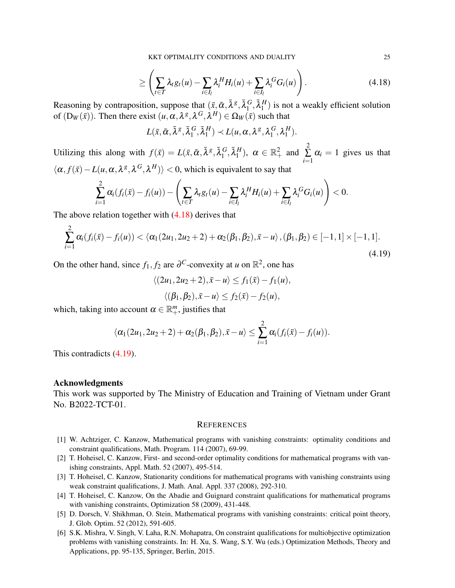KKT OPTIMALITY CONDITIONS AND DUALITY 25

<span id="page-24-6"></span>
$$
\geq \left(\sum_{t\in T} \lambda_t g_t(u) - \sum_{i\in I_l} \lambda_i^H H_i(u) + \sum_{i\in I_l} \lambda_i^G G_i(u)\right).
$$
\n(4.18)

Reasoning by contraposition, suppose that  $(\bar{x}, \bar{\alpha}, \bar{\lambda}^g, \bar{\lambda}_1^g)$  $_1^G, \bar{\lambda}_1^H$  $_1^H$ ) is not a weakly efficient solution of  $(D_W(\bar{x}))$ . Then there exist  $(u, \alpha, \lambda^g, \lambda^G, \lambda^H) \in \Omega_W(\bar{x})$  such that

$$
L(\bar{x}, \bar{\alpha}, \bar{\lambda}^g, \bar{\lambda}_1^G, \bar{\lambda}_1^H) \prec L(u, \alpha, \lambda^g, \lambda_1^G, \lambda_1^H).
$$

Utilizing this along with  $f(\bar{x}) = L(\bar{x}, \bar{\alpha}, \bar{\lambda}^g, \bar{\lambda}_1^g)$  $_{1}^{G}, \bar{\lambda}_{1}^{H}$  $\binom{H}{1}$ ,  $\alpha \in \mathbb{R}^2_+$  and 2 ∑ *i*=1  $\alpha_i = 1$  gives us that  $\langle \alpha, f(\bar{x}) - L(u, \alpha, \lambda^g, \lambda^G, \lambda^H) \rangle$  < 0, which is equivalent to say that

$$
\sum_{i=1}^2 \alpha_i (f_i(\bar{x}) - f_i(u)) - \left(\sum_{t \in T} \lambda_t g_t(u) - \sum_{i \in I_l} \lambda_i^H H_i(u) + \sum_{i \in I_l} \lambda_i^G G_i(u)\right) < 0.
$$

The above relation together with [\(4.18\)](#page-24-6) derives that

<span id="page-24-7"></span>
$$
\sum_{i=1}^{2} \alpha_i (f_i(\bar{x}) - f_i(u)) < \langle \alpha_1(2u_1, 2u_2 + 2) + \alpha_2(\beta_1, \beta_2), \bar{x} - u \rangle, (\beta_1, \beta_2) \in [-1, 1] \times [-1, 1].
$$
\n(4.19)

On the other hand, since  $f_1, f_2$  are  $\partial^C$ -convexity at *u* on  $\mathbb{R}^2$ , one has

$$
\langle (2u_1, 2u_2+2), \bar{x}-u \rangle \le f_1(\bar{x}) - f_1(u),
$$
  

$$
\langle (\beta_1, \beta_2), \bar{x}-u \rangle \le f_2(\bar{x}) - f_2(u),
$$

which, taking into account  $\alpha \in \mathbb{R}^m_+$ , justifies that

$$
\langle \alpha_1(2u_1, 2u_2+2)+\alpha_2(\beta_1, \beta_2), \bar{x}-u\rangle \leq \sum_{i=1}^2 \alpha_i(f_i(\bar{x})-f_i(u)).
$$

This contradicts [\(4.19\)](#page-24-7).

### Acknowledgments

This work was supported by The Ministry of Education and Training of Vietnam under Grant No. B2022-TCT-01.

### **REFERENCES**

- <span id="page-24-0"></span>[1] W. Achtziger, C. Kanzow, Mathematical programs with vanishing constraints: optimality conditions and constraint qualifications, Math. Program. 114 (2007), 69-99.
- <span id="page-24-1"></span>[2] T. Hoheisel, C. Kanzow, First- and second-order optimality conditions for mathematical programs with vanishing constraints, Appl. Math. 52 (2007), 495-514.
- <span id="page-24-2"></span>[3] T. Hoheisel, C. Kanzow, Stationarity conditions for mathematical programs with vanishing constraints using weak constraint qualifications, J. Math. Anal. Appl. 337 (2008), 292-310.
- <span id="page-24-3"></span>[4] T. Hoheisel, C. Kanzow, On the Abadie and Guignard constraint qualifications for mathematical programs with vanishing constraints, Optimization 58 (2009), 431-448.
- <span id="page-24-4"></span>[5] D. Dorsch, V. Shikhman, O. Stein, Mathematical programs with vanishing constraints: critical point theory, J. Glob. Optim. 52 (2012), 591-605.
- <span id="page-24-5"></span>[6] S.K. Mishra, V. Singh, V. Laha, R.N. Mohapatra, On constraint qualifications for multiobjective optimization problems with vanishing constraints. In: H. Xu, S. Wang, S.Y. Wu (eds.) Optimization Methods, Theory and Applications, pp. 95-135, Springer, Berlin, 2015.